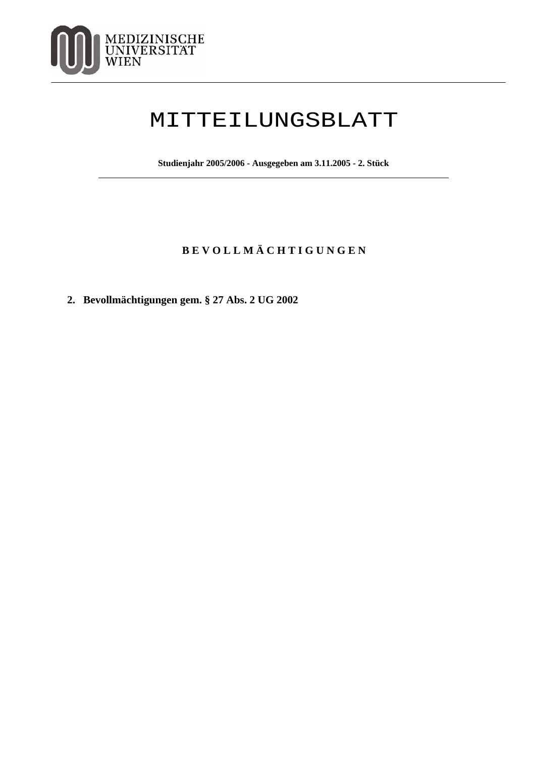

## MITTEILUNGSBLATT

**Studienjahr 2005/2006 - Ausgegeben am 3.11.2005 - 2. Stück**

## **B E V O L L M Ä C H T I G U N G E N**

**2. Bevollmächtigungen gem. § 27 Abs. 2 UG 2002**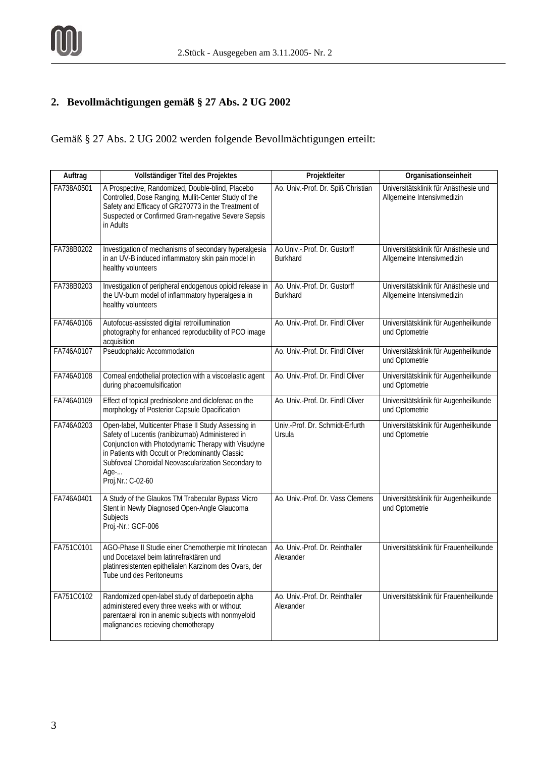## **2. Bevollmächtigungen gemäß § 27 Abs. 2 UG 2002**

Gemäß § 27 Abs. 2 UG 2002 werden folgende Bevollmächtigungen erteilt:

| Auftrag    | Vollständiger Titel des Projektes                                                                                                                                                                                                                                                                      | Projektleiter                                   | Organisationseinheit                                                |
|------------|--------------------------------------------------------------------------------------------------------------------------------------------------------------------------------------------------------------------------------------------------------------------------------------------------------|-------------------------------------------------|---------------------------------------------------------------------|
| FA738A0501 | A Prospective, Randomized, Double-blind, Placebo<br>Controlled, Dose Ranging, Mullit-Center Study of the<br>Safety and Efficacy of GR270773 in the Treatment of<br>Suspected or Confirmed Gram-negative Severe Sepsis<br>in Adults                                                                     | Ao. Univ.-Prof. Dr. Spiß Christian              | Universitätsklinik für Anästhesie und<br>Allgemeine Intensivmedizin |
| FA738B0202 | Investigation of mechanisms of secondary hyperalgesia<br>in an UV-B induced inflammatory skin pain model in<br>healthy volunteers                                                                                                                                                                      | Ao.Univ.-.Prof. Dr. Gustorff<br><b>Burkhard</b> | Universitätsklinik für Anästhesie und<br>Allgemeine Intensivmedizin |
| FA738B0203 | Investigation of peripheral endogenous opioid release in<br>the UV-burn model of inflammatory hyperalgesia in<br>healthy volunteers                                                                                                                                                                    | Ao. Univ.-Prof. Dr. Gustorff<br><b>Burkhard</b> | Universitätsklinik für Anästhesie und<br>Allgemeine Intensivmedizin |
| FA746A0106 | Autofocus-assissted digital retroillumination<br>photography for enhanced reproducbility of PCO image<br>acquisition                                                                                                                                                                                   | Ao. Univ.-Prof. Dr. Findl Oliver                | Universitätsklinik für Augenheilkunde<br>und Optometrie             |
| FA746A0107 | Pseudophakic Accommodation                                                                                                                                                                                                                                                                             | Ao. Univ.-Prof. Dr. Findl Oliver                | Universitätsklinik für Augenheilkunde<br>und Optometrie             |
| FA746A0108 | Corneal endothelial protection with a viscoelastic agent<br>during phacoemulsification                                                                                                                                                                                                                 | Ao. Univ.-Prof. Dr. Findl Oliver                | Universitätsklinik für Augenheilkunde<br>und Optometrie             |
| FA746A0109 | Effect of topical prednisolone and diclofenac on the<br>morphology of Posterior Capsule Opacification                                                                                                                                                                                                  | Ao. Univ.-Prof. Dr. Findl Oliver                | Universitätsklinik für Augenheilkunde<br>und Optometrie             |
| FA746A0203 | Open-label, Multicenter Phase II Study Assessing in<br>Safety of Lucentis (ranibizumab) Administered in<br>Conjunction with Photodynamic Therapy with Visudyne<br>in Patients with Occult or Predominantly Classic<br>Subfoveal Choroidal Neovascularization Secondary to<br>Age-<br>Proj.Nr.: C-02-60 | Univ.-Prof. Dr. Schmidt-Erfurth<br>Ursula       | Universitätsklinik für Augenheilkunde<br>und Optometrie             |
| FA746A0401 | A Study of the Glaukos TM Trabecular Bypass Micro<br>Stent in Newly Diagnosed Open-Angle Glaucoma<br><b>Subjects</b><br>Proj.-Nr.: GCF-006                                                                                                                                                             | Ao. Univ.-Prof. Dr. Vass Clemens                | Universitätsklinik für Augenheilkunde<br>und Optometrie             |
| FA751C0101 | AGO-Phase II Studie einer Chemotherpie mit Irinotecan<br>und Docetaxel beim latinrefraktären und<br>platinresistenten epithelialen Karzinom des Ovars, der<br>Tube und des Peritoneums                                                                                                                 | Ao. Univ.-Prof. Dr. Reinthaller<br>Alexander    | Universitätsklinik für Frauenheilkunde                              |
| FA751C0102 | Randomized open-label study of darbepoetin alpha<br>administered every three weeks with or without<br>parentaeral iron in anemic subjects with nonmyeloid<br>malignancies recieving chemotherapy                                                                                                       | Ao. Univ.-Prof. Dr. Reinthaller<br>Alexander    | Universitätsklinik für Frauenheilkunde                              |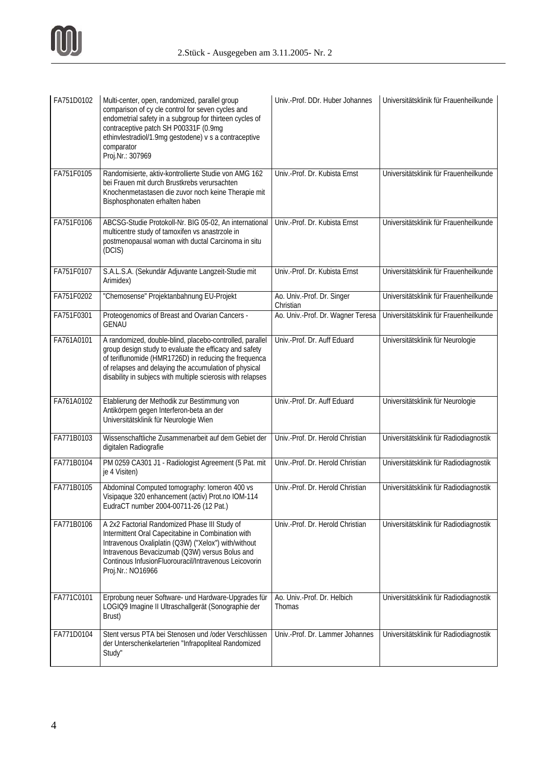

| FA751D0102 | Multi-center, open, randomized, parallel group<br>comparison of cy cle control for seven cycles and<br>endometrial safety in a subgroup for thirteen cycles of<br>contraceptive patch SH P00331F (0.9mg<br>ethinvlestradiol/1.9mg gestodene) v s a contraceptive<br>comparator<br>Proj.Nr.: 307969  | Univ.-Prof. DDr. Huber Johannes         | Universitätsklinik für Frauenheilkunde |
|------------|-----------------------------------------------------------------------------------------------------------------------------------------------------------------------------------------------------------------------------------------------------------------------------------------------------|-----------------------------------------|----------------------------------------|
| FA751F0105 | Randomisierte, aktiv-kontrollierte Studie von AMG 162<br>bei Frauen mit durch Brustkrebs verursachten<br>Knochenmetastasen die zuvor noch keine Therapie mit<br>Bisphosphonaten erhalten haben                                                                                                      | Univ.-Prof. Dr. Kubista Ernst           | Universitätsklinik für Frauenheilkunde |
| FA751F0106 | ABCSG-Studie Protokoll-Nr. BIG 05-02, An international<br>multicentre study of tamoxifen vs anastrzole in<br>postmenopausal woman with ductal Carcinoma in situ<br>(DCIS)                                                                                                                           | Univ.-Prof. Dr. Kubista Ernst           | Universitätsklinik für Frauenheilkunde |
| FA751F0107 | S.A.L.S.A. (Sekundär Adjuvante Langzeit-Studie mit<br>Arimidex)                                                                                                                                                                                                                                     | Univ.-Prof. Dr. Kubista Ernst           | Universitätsklinik für Frauenheilkunde |
| FA751F0202 | "Chemosense" Projektanbahnung EU-Projekt                                                                                                                                                                                                                                                            | Ao. Univ.-Prof. Dr. Singer<br>Christian | Universitätsklinik für Frauenheilkunde |
| FA751F0301 | Proteogenomics of Breast and Ovarian Cancers -<br><b>GENAU</b>                                                                                                                                                                                                                                      | Ao. Univ.-Prof. Dr. Wagner Teresa       | Universitätsklinik für Frauenheilkunde |
| FA761A0101 | A randomized, double-blind, placebo-controlled, parallel<br>group design study to evaluate the efficacy and safety<br>of teriflunomide (HMR1726D) in reducing the frequenca<br>of relapses and delaying the accumulation of physical<br>disability in subjecs with multiple scierosis with relapses | Univ.-Prof. Dr. Auff Eduard             | Universitätsklinik für Neurologie      |
| FA761A0102 | Etablierung der Methodik zur Bestimmung von<br>Antikörpern gegen Interferon-beta an der<br>Universitätsklinik für Neurologie Wien                                                                                                                                                                   | Univ.-Prof. Dr. Auff Eduard             | Universitätsklinik für Neurologie      |
| FA771B0103 | Wissenschaftliche Zusammenarbeit auf dem Gebiet der<br>digitalen Radiografie                                                                                                                                                                                                                        | Univ.-Prof. Dr. Herold Christian        | Universitätsklinik für Radiodiagnostik |
| FA771B0104 | PM 0259 CA301 J1 - Radiologist Agreement (5 Pat. mit<br>je 4 Visiten)                                                                                                                                                                                                                               | Univ.-Prof. Dr. Herold Christian        | Universitätsklinik für Radiodiagnostik |
| FA771B0105 | Abdominal Computed tomography: Iomeron 400 vs<br>Visipaque 320 enhancement (activ) Prot.no IOM-114<br>EudraCT number 2004-00711-26 (12 Pat.)                                                                                                                                                        | Univ.-Prof. Dr. Herold Christian        | Universitätsklinik für Radiodiagnostik |
| FA771B0106 | A 2x2 Factorial Randomized Phase III Study of<br>Intermittent Oral Capecitabine in Combination with<br>Intravenous Oxaliplatin (Q3W) ("Xelox") with/without<br>Intravenous Bevacizumab (Q3W) versus Bolus and<br>Continous InfusionFluorouracil/Intravenous Leicovorin<br>Proj.Nr.: NO16966         | Univ.-Prof. Dr. Herold Christian        | Universitätsklinik für Radiodiagnostik |
| FA771C0101 | Erprobung neuer Software- und Hardware-Upgrades für<br>LOGIQ9 Imagine II Ultraschallgerät (Sonographie der<br>Brust)                                                                                                                                                                                | Ao. Univ.-Prof. Dr. Helbich<br>Thomas   | Universitätsklinik für Radiodiagnostik |
| FA771D0104 | Stent versus PTA bei Stenosen und /oder Verschlüssen<br>der Unterschenkelarterien "Infrapopliteal Randomized<br>Study"                                                                                                                                                                              | Univ.-Prof. Dr. Lammer Johannes         | Universitätsklinik für Radiodiagnostik |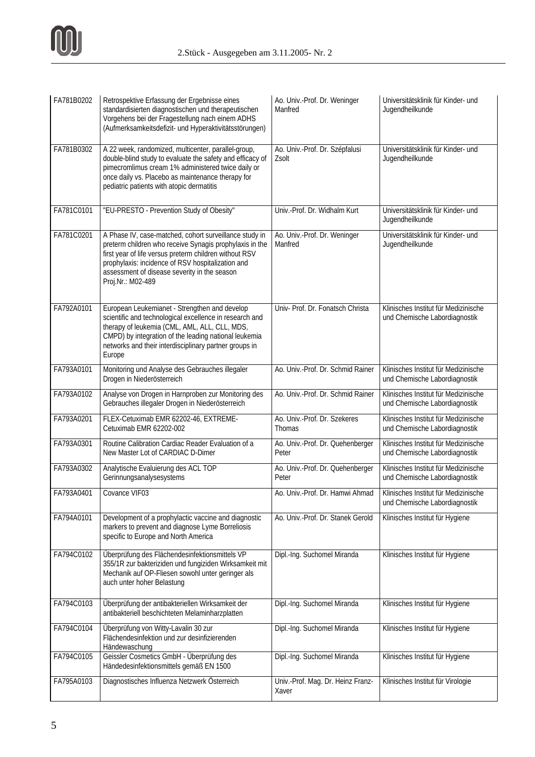

| FA781B0202 | Retrospektive Erfassung der Ergebnisse eines<br>standardisierten diagnostischen und therapeutischen<br>Vorgehens bei der Fragestellung nach einem ADHS<br>(Aufmerksamkeitsdefizit- und Hyperaktivitätsstörungen)                                                                                      | Ao. Univ.-Prof. Dr. Weninger<br>Manfred    | Universitätsklinik für Kinder- und<br>Jugendheilkunde                 |
|------------|-------------------------------------------------------------------------------------------------------------------------------------------------------------------------------------------------------------------------------------------------------------------------------------------------------|--------------------------------------------|-----------------------------------------------------------------------|
| FA781B0302 | A 22 week, randomized, multicenter, parallel-group,<br>double-blind study to evaluate the safety and efficacy of<br>pimecromlimus cream 1% administered twice daily or<br>once daily vs. Placebo as maintenance therapy for<br>pediatric patients with atopic dermatitis                              | Ao. Univ.-Prof. Dr. Szépfalusi<br>Zsolt    | Universitätsklinik für Kinder- und<br>Jugendheilkunde                 |
| FA781C0101 | "EU-PRESTO - Prevention Study of Obesity"                                                                                                                                                                                                                                                             | Univ.-Prof. Dr. Widhalm Kurt               | Universitätsklinik für Kinder- und<br>Jugendheilkunde                 |
| FA781C0201 | A Phase IV, case-matched, cohort surveillance study in<br>preterm children who receive Synagis prophylaxis in the<br>first year of life versus preterm children without RSV<br>prophylaxis: incidence of RSV hospitalization and<br>assessment of disease severity in the season<br>Proj.Nr.: M02-489 | Ao. Univ.-Prof. Dr. Weninger<br>Manfred    | Universitätsklinik für Kinder- und<br>Jugendheilkunde                 |
| FA792A0101 | European Leukemianet - Strengthen and develop<br>scientific and technological excellence in research and<br>therapy of leukemia (CML, AML, ALL, CLL, MDS,<br>CMPD) by integration of the leading national leukemia<br>networks and their interdisciplinary partner groups in<br>Europe                | Univ- Prof. Dr. Fonatsch Christa           | Klinisches Institut für Medizinische<br>und Chemische Labordiagnostik |
| FA793A0101 | Monitoring und Analyse des Gebrauches illegaler<br>Drogen in Niederösterreich                                                                                                                                                                                                                         | Ao. Univ.-Prof. Dr. Schmid Rainer          | Klinisches Institut für Medizinische<br>und Chemische Labordiagnostik |
| FA793A0102 | Analyse von Drogen in Harnproben zur Monitoring des<br>Gebrauches illegaler Drogen in Niederösterreich                                                                                                                                                                                                | Ao. Univ.-Prof. Dr. Schmid Rainer          | Klinisches Institut für Medizinische<br>und Chemische Labordiagnostik |
| FA793A0201 | FLEX-Cetuximab EMR 62202-46, EXTREME-<br>Cetuximab EMR 62202-002                                                                                                                                                                                                                                      | Ao. Univ.-Prof. Dr. Szekeres<br>Thomas     | Klinisches Institut für Medizinische<br>und Chemische Labordiagnostik |
| FA793A0301 | Routine Calibration Cardiac Reader Evaluation of a<br>New Master Lot of CARDIAC D-Dimer                                                                                                                                                                                                               | Ao. Univ.-Prof. Dr. Quehenberger<br>Peter  | Klinisches Institut für Medizinische<br>und Chemische Labordiagnostik |
| FA793A0302 | Analytische Evaluierung des ACL TOP<br>Gerinnungsanalysesystems                                                                                                                                                                                                                                       | Ao. Univ.-Prof. Dr. Quehenberger<br>Peter  | Klinisches Institut für Medizinische<br>und Chemische Labordiagnostik |
| FA793A0401 | Covance VIF03                                                                                                                                                                                                                                                                                         | Ao. Univ.-Prof. Dr. Hamwi Ahmad            | Klinisches Institut für Medizinische<br>und Chemische Labordiagnostik |
| FA794A0101 | Development of a prophylactic vaccine and diagnostic<br>markers to prevent and diagnose Lyme Borreliosis<br>specific to Europe and North America                                                                                                                                                      | Ao. Univ.-Prof. Dr. Stanek Gerold          | Klinisches Institut für Hygiene                                       |
| FA794C0102 | Überprüfung des Flächendesinfektionsmittels VP<br>355/1R zur bakteriziden und fungiziden Wirksamkeit mit<br>Mechanik auf OP-Fliesen sowohl unter geringer als<br>auch unter hoher Belastung                                                                                                           | Dipl.-Ing. Suchomel Miranda                | Klinisches Institut für Hygiene                                       |
| FA794C0103 | Überprüfung der antibakteriellen Wirksamkeit der<br>antibakteriell beschichteten Melaminharzplatten                                                                                                                                                                                                   | Dipl.-Ing. Suchomel Miranda                | Klinisches Institut für Hygiene                                       |
| FA794C0104 | Überprüfung von Witty-Lavalin 30 zur<br>Flächendesinfektion und zur desinfizierenden<br>Händewaschung                                                                                                                                                                                                 | Dipl.-Ing. Suchomel Miranda                | Klinisches Institut für Hygiene                                       |
| FA794C0105 | Geissler Cosmetics GmbH - Überprüfung des<br>Händedesinfektionsmittels gemäß EN 1500                                                                                                                                                                                                                  | Dipl.-Ing. Suchomel Miranda                | Klinisches Institut für Hygiene                                       |
| FA795A0103 | Diagnostisches Influenza Netzwerk Österreich                                                                                                                                                                                                                                                          | Univ.-Prof. Mag. Dr. Heinz Franz-<br>Xaver | Klinisches Institut für Virologie                                     |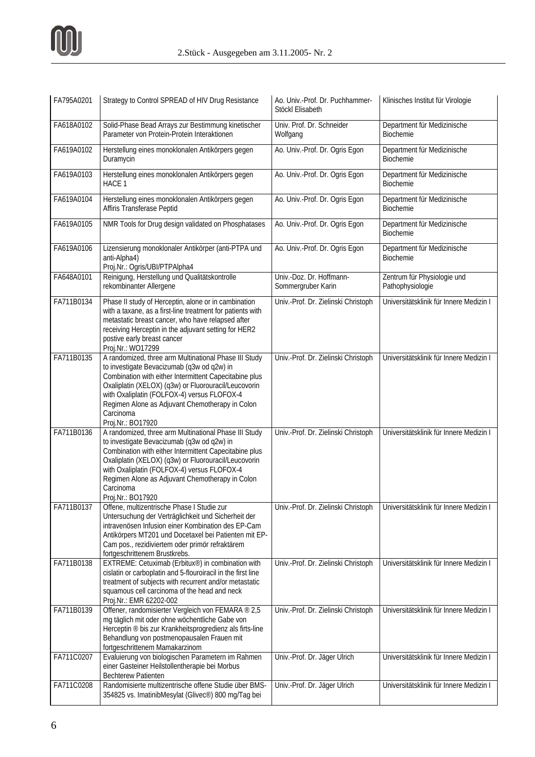| FA795A0201 | Strategy to Control SPREAD of HIV Drug Resistance                                                                                                                                                                                                                                                                                                         | Ao. Univ.-Prof. Dr. Puchhammer-<br>Stöckl Elisabeth | Klinisches Institut für Virologie               |
|------------|-----------------------------------------------------------------------------------------------------------------------------------------------------------------------------------------------------------------------------------------------------------------------------------------------------------------------------------------------------------|-----------------------------------------------------|-------------------------------------------------|
| FA618A0102 | Solid-Phase Bead Arrays zur Bestimmung kinetischer<br>Parameter von Protein-Protein Interaktionen                                                                                                                                                                                                                                                         | Univ. Prof. Dr. Schneider<br>Wolfgang               | Department für Medizinische<br>Biochemie        |
| FA619A0102 | Herstellung eines monoklonalen Antikörpers gegen<br>Duramycin                                                                                                                                                                                                                                                                                             | Ao. Univ.-Prof. Dr. Ogris Egon                      | Department für Medizinische<br><b>Biochemie</b> |
| FA619A0103 | Herstellung eines monoklonalen Antikörpers gegen<br>HACE 1                                                                                                                                                                                                                                                                                                | Ao. Univ.-Prof. Dr. Ogris Egon                      | Department für Medizinische<br>Biochemie        |
| FA619A0104 | Herstellung eines monoklonalen Antikörpers gegen<br>Affiris Transferase Peptid                                                                                                                                                                                                                                                                            | Ao. Univ.-Prof. Dr. Ogris Egon                      | Department für Medizinische<br>Biochemie        |
| FA619A0105 | NMR Tools for Drug design validated on Phosphatases                                                                                                                                                                                                                                                                                                       | Ao. Univ.-Prof. Dr. Ogris Egon                      | Department für Medizinische<br><b>Biochemie</b> |
| FA619A0106 | Lizensierung monoklonaler Antikörper (anti-PTPA und<br>anti-Alpha4)<br>Proj.Nr.: Ogris/UBI/PTPAlpha4                                                                                                                                                                                                                                                      | Ao. Univ.-Prof. Dr. Ogris Egon                      | Department für Medizinische<br>Biochemie        |
| FA648A0101 | Reinigung, Herstellung und Qualitätskontrolle<br>rekombinanter Allergene                                                                                                                                                                                                                                                                                  | Univ.-Doz. Dr. Hoffmann-<br>Sommergruber Karin      | Zentrum für Physiologie und<br>Pathophysiologie |
| FA711B0134 | Phase II study of Herceptin, alone or in cambination<br>with a taxane, as a first-line treatment for patients with<br>metastatic breast cancer, who have relapsed after<br>receiving Herceptin in the adjuvant setting for HER2<br>postive early breast cancer<br>Proj.Nr.: WO17299                                                                       | Univ.-Prof. Dr. Zielinski Christoph                 | Universitätsklinik für Innere Medizin I         |
| FA711B0135 | A randomized, three arm Multinational Phase III Study<br>to investigate Bevacizumab (q3w od q2w) in<br>Combination with either Intermittent Capecitabine plus<br>Oxaliplatin (XELOX) (q3w) or Fluorouracil/Leucovorin<br>with Oxaliplatin (FOLFOX-4) versus FLOFOX-4<br>Regimen Alone as Adjuvant Chemotherapy in Colon<br>Carcinoma<br>Proj.Nr.: BO17920 | Univ.-Prof. Dr. Zielinski Christoph                 | Universitätsklinik für Innere Medizin I         |
| FA711B0136 | A randomized, three arm Multinational Phase III Study<br>to investigate Bevacizumab (q3w od q2w) in<br>Combination with either Intermittent Capecitabine plus<br>Oxaliplatin (XELOX) (q3w) or Fluorouracil/Leucovorin<br>with Oxaliplatin (FOLFOX-4) versus FLOFOX-4<br>Regimen Alone as Adjuvant Chemotherapy in Colon<br>Carcinoma<br>Proj.Nr.: BO17920 | Univ.-Prof. Dr. Zielinski Christoph                 | Universitätsklinik für Innere Medizin I         |
| FA711B0137 | Offene, multizentrische Phase I Studie zur<br>Untersuchung der Verträglichkeit und Sicherheit der<br>intravenösen Infusion einer Kombination des EP-Cam<br>Antikörpers MT201 und Docetaxel bei Patienten mit EP-<br>Cam pos., rezidiviertem oder primör refraktärem<br>fortgeschrittenem Brustkrebs.                                                      | Univ.-Prof. Dr. Zielinski Christoph                 | Universitätsklinik für Innere Medizin I         |
| FA711B0138 | EXTREME: Cetuximab (Erbitux®) in combination with<br>cislatin or carboplatin and 5-flouroiracil in the first line<br>treatment of subjects with recurrent and/or metastatic<br>squamous cell carcinoma of the head and neck<br>Proj.Nr.: EMR 62202-002                                                                                                    | Univ.-Prof. Dr. Zielinski Christoph                 | Universitätsklinik für Innere Medizin I         |
| FA711B0139 | Offener, randomisierter Vergleich von FEMARA ® 2,5<br>mg täglich mit oder ohne wöchentliche Gabe von<br>Herceptin ® bis zur Krankheitsprogredienz als firts-line<br>Behandlung von postmenopausalen Frauen mit<br>fortgeschrittenem Mamakarzinom                                                                                                          | Univ.-Prof. Dr. Zielinski Christoph                 | Universitätsklinik für Innere Medizin I         |
| FA711C0207 | Evaluierung von biologischen Parametern im Rahmen<br>einer Gasteiner Heilstollentherapie bei Morbus<br><b>Bechterew Patienten</b>                                                                                                                                                                                                                         | Univ.-Prof. Dr. Jäger Ulrich                        | Universitätsklinik für Innere Medizin I         |
| FA711C0208 | Randomisierte multizentrische offene Studie über BMS-<br>354825 vs. ImatinibMesylat (Glivec®) 800 mg/Tag bei                                                                                                                                                                                                                                              | Univ.-Prof. Dr. Jäger Ulrich                        | Universitätsklinik für Innere Medizin I         |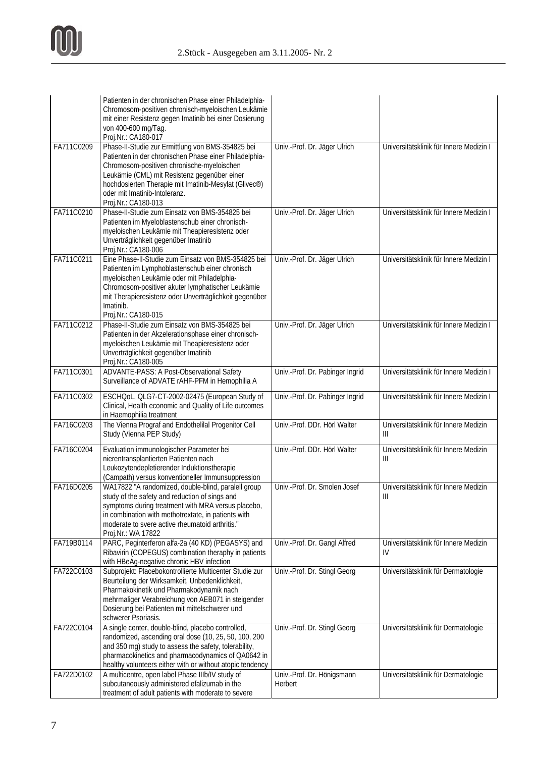|            | Patienten in der chronischen Phase einer Philadelphia-<br>Chromosom-positiven chronisch-myeloischen Leukämie<br>mit einer Resistenz gegen Imatinib bei einer Dosierung<br>von 400-600 mg/Tag.<br>Proj.Nr.: CA180-017                                                                                                       |                                       |                                                                             |
|------------|----------------------------------------------------------------------------------------------------------------------------------------------------------------------------------------------------------------------------------------------------------------------------------------------------------------------------|---------------------------------------|-----------------------------------------------------------------------------|
| FA711C0209 | Phase-II-Studie zur Ermittlung von BMS-354825 bei<br>Patienten in der chronischen Phase einer Philadelphia-<br>Chromosom-positiven chronische-myeloischen<br>Leukämie (CML) mit Resistenz gegenüber einer<br>hochdosierten Therapie mit Imatinib-Mesylat (Glivec®)<br>oder mit Imatinib-Intoleranz.<br>Proj.Nr.: CA180-013 | Univ.-Prof. Dr. Jäger Ulrich          | Universitätsklinik für Innere Medizin I                                     |
| FA711C0210 | Phase-II-Studie zum Einsatz von BMS-354825 bei<br>Patienten im Myeloblastenschub einer chronisch-<br>myeloischen Leukämie mit Theapieresistenz oder<br>Unverträglichkeit gegenüber Imatinib<br>Proj.Nr.: CA180-006                                                                                                         | Univ.-Prof. Dr. Jäger Ulrich          | Universitätsklinik für Innere Medizin I                                     |
| FA711C0211 | Eine Phase-II-Studie zum Einsatz von BMS-354825 bei<br>Patienten im Lymphoblastenschub einer chronisch<br>myeloischen Leukämie oder mit Philadelphia-<br>Chromosom-positiver akuter lymphatischer Leukämie<br>mit Therapieresistenz oder Unverträglichkeit gegenüber<br>Imatinib.<br>Proj.Nr.: CA180-015                   | Univ.-Prof. Dr. Jäger Ulrich          | Universitätsklinik für Innere Medizin I                                     |
| FA711C0212 | Phase-II-Studie zum Einsatz von BMS-354825 bei<br>Patienten in der Akzelerationsphase einer chronisch-<br>myeloischen Leukämie mit Theapieresistenz oder<br>Unverträglichkeit gegenüber Imatinib<br>Proj.Nr.: CA180-005                                                                                                    | Univ.-Prof. Dr. Jäger Ulrich          | Universitätsklinik für Innere Medizin I                                     |
| FA711C0301 | ADVANTE-PASS: A Post-Observational Safety<br>Surveillance of ADVATE rAHF-PFM in Hemophilia A                                                                                                                                                                                                                               | Univ.-Prof. Dr. Pabinger Ingrid       | Universitätsklinik für Innere Medizin I                                     |
| FA711C0302 | ESCHQoL, QLG7-CT-2002-02475 (European Study of<br>Clinical, Health economic and Quality of Life outcomes<br>in Haemophilia treatment                                                                                                                                                                                       | Univ.-Prof. Dr. Pabinger Ingrid       | Universitätsklinik für Innere Medizin I                                     |
| FA716C0203 | The Vienna Prograf and Endothelilal Progenitor Cell<br>Study (Vienna PEP Study)                                                                                                                                                                                                                                            | Univ.-Prof. DDr. Hörl Walter          | Universitätsklinik für Innere Medizin<br>Ш                                  |
| FA716C0204 | Evaluation immunologischer Parameter bei<br>nierentransplantierten Patienten nach<br>Leukozytendepletierender Induktionstherapie<br>(Campath) versus konventioneller Immunsuppression                                                                                                                                      | Univ.-Prof. DDr. Hörl Walter          | Universitätsklinik für Innere Medizin<br>$\parallel \parallel$              |
| FA716D0205 | WA17822 "A randomized, double-blind, paralell group<br>study of the safety and reduction of sings and<br>symptoms during treatment with MRA versus placebo,<br>in combination with methotrextate, in patients with<br>moderate to svere active rheumatoid arthritis."<br>Proj.Nr.: WA 17822                                | Univ.-Prof. Dr. Smolen Josef          | Universitätsklinik für Innere Medizin<br>$\ensuremath{\mathsf{III}}\xspace$ |
| FA719B0114 | PARC, Peginterferon alfa-2a (40 KD) (PEGASYS) and<br>Ribavirin (COPEGUS) combination theraphy in patients<br>with HBeAg-negative chronic HBV infection                                                                                                                                                                     | Univ.-Prof. Dr. Gangl Alfred          | Universitätsklinik für Innere Medizin<br>IV                                 |
| FA722C0103 | Subprojekt: Placebokontrollierte Multicenter Studie zur<br>Beurteilung der Wirksamkeit, Unbedenklichkeit,<br>Pharmakokinetik und Pharmakodynamik nach<br>mehrmaliger Verabreichung von AEB071 in steigender<br>Dosierung bei Patienten mit mittelschwerer und<br>schwerer Psoriasis.                                       | Univ.-Prof. Dr. Stingl Georg          | Universitätsklinik für Dermatologie                                         |
| FA722C0104 | A single center, double-blind, placebo controlled,<br>randomized, ascending oral dose (10, 25, 50, 100, 200<br>and 350 mg) study to assess the safety, tolerability,<br>pharmacokinetics and pharmacodynamics of QA0642 in<br>healthy volunteers either with or without atopic tendency                                    | Univ.-Prof. Dr. Stingl Georg          | Universitätsklinik für Dermatologie                                         |
| FA722D0102 | A multicentre, open label Phase IIIb/IV study of<br>subcutaneously administered efalizumab in the<br>treatment of adult patients with moderate to severe                                                                                                                                                                   | Univ.-Prof. Dr. Hönigsmann<br>Herbert | Universitätsklinik für Dermatologie                                         |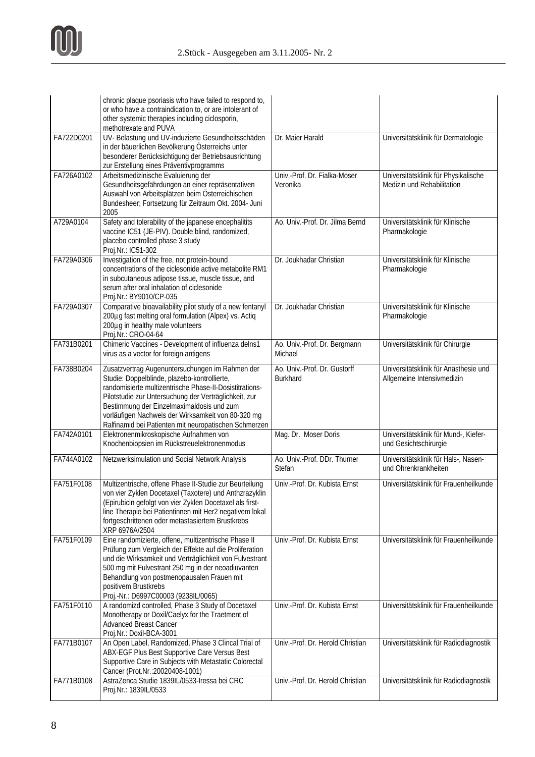|            | chronic plaque psoriasis who have failed to respond to,<br>or who have a contraindication to, or are intolerant of<br>other systemic therapies including ciclosporin,<br>methotrexate and PUVA                                                                                                                                                                                  |                                                 |                                                                     |
|------------|---------------------------------------------------------------------------------------------------------------------------------------------------------------------------------------------------------------------------------------------------------------------------------------------------------------------------------------------------------------------------------|-------------------------------------------------|---------------------------------------------------------------------|
| FA722D0201 | UV- Belastung und UV-induzierte Gesundheitsschäden<br>in der bäuerlichen Bevölkerung Österreichs unter<br>besonderer Berücksichtigung der Betriebsausrichtung<br>zur Erstellung eines Präventivprogramms                                                                                                                                                                        | Dr. Maier Harald                                | Universitätsklinik für Dermatologie                                 |
| FA726A0102 | Arbeitsmedizinische Evaluierung der<br>Gesundheitsgefährdungen an einer repräsentativen<br>Auswahl von Arbeitsplätzen beim Österreichischen<br>Bundesheer; Fortsetzung für Zeitraum Okt. 2004- Juni<br>2005                                                                                                                                                                     | Univ.-Prof. Dr. Fialka-Moser<br>Veronika        | Universitätsklinik für Physikalische<br>Medizin und Rehabilitation  |
| A729A0104  | Safety and tolerability of the japanese encephalitits<br>vaccine IC51 (JE-PIV). Double blind, randomized,<br>placebo controlled phase 3 study<br>Proj.Nr.: IC51-302                                                                                                                                                                                                             | Ao. Univ.-Prof. Dr. Jilma Bernd                 | Universitätsklinik für Klinische<br>Pharmakologie                   |
| FA729A0306 | Investigation of the free, not protein-bound<br>concentrations of the ciclesonide active metabolite RM1<br>in subcutaneous adipose tissue, muscle tissue, and<br>serum after oral inhalation of ciclesonide<br>Proj.Nr.: BY9010/CP-035                                                                                                                                          | Dr. Joukhadar Christian                         | Universitätsklinik für Klinische<br>Pharmakologie                   |
| FA729A0307 | Comparative bioavailability pilot study of a new fentanyl<br>200µg fast melting oral formulation (Alpex) vs. Actiq<br>200µg in healthy male volunteers<br>Proj.Nr.: CRO-04-64                                                                                                                                                                                                   | Dr. Joukhadar Christian                         | Universitätsklinik für Klinische<br>Pharmakologie                   |
| FA731B0201 | Chimeric Vaccines - Development of influenza delns1<br>virus as a vector for foreign antigens                                                                                                                                                                                                                                                                                   | Ao. Univ.-Prof. Dr. Bergmann<br>Michael         | Universitätsklinik für Chirurgie                                    |
| FA738B0204 | Zusatzvertrag Augenuntersuchungen im Rahmen der<br>Studie: Doppelblinde, plazebo-kontrollierte,<br>randomisierte multizentrische Phase-II-Dosistitrations-<br>Pilotstudie zur Untersuchung der Verträglichkeit, zur<br>Bestimmung der Einzelmaximaldosis und zum<br>vorläufigen Nachweis der Wirksamkeit von 80-320 mg<br>Ralfinamid bei Patienten mit neuropatischen Schmerzen | Ao. Univ.-Prof. Dr. Gustorff<br><b>Burkhard</b> | Universitätsklinik für Anästhesie und<br>Allgemeine Intensivmedizin |
| FA742A0101 | Elektronenmikroskopische Aufnahmen von<br>Knochenbiopsien im Rückstreuelektronenmodus                                                                                                                                                                                                                                                                                           | Mag. Dr. Moser Doris                            | Universitätsklinik für Mund-, Kiefer-<br>und Gesichtschirurgie      |
| FA744A0102 | Netzwerksimulation und Social Network Analysis                                                                                                                                                                                                                                                                                                                                  | Ao. Univ.-Prof. DDr. Thurner<br>Stefan          | Universitätsklinik für Hals-, Nasen-<br>und Ohrenkrankheiten        |
| FA751F0108 | Multizentrische, offene Phase II-Studie zur Beurteilung<br>von vier Zyklen Docetaxel (Taxotere) und Anthzrazyklin<br>(Epirubicin gefolgt von vier Zyklen Docetaxel als first-<br>line Therapie bei Patientinnen mit Her2 negativem lokal<br>fortgeschrittenen oder metastasiertem Brustkrebs<br>XRP 6976A/2504                                                                  | Univ.-Prof. Dr. Kubista Ernst                   | Universitätsklinik für Frauenheilkunde                              |
| FA751F0109 | Eine randomizierte, offene, multizentrische Phase II<br>Prüfung zum Vergleich der Effekte auf die Proliferation<br>und die Wirksamkeit und Verträglichkeit von Fulvestrant<br>500 mg mit Fulvestrant 250 mg in der neoadiuvanten<br>Behandlung von postmenopausalen Frauen mit<br>positivem Brustkrebs<br>Proj.-Nr.: D6997C00003 (9238IL/0065)                                  | Univ.-Prof. Dr. Kubista Ernst                   | Universitätsklinik für Frauenheilkunde                              |
| FA751F0110 | A randomizd controlled, Phase 3 Study of Docetaxel<br>Monotherapy or Doxil/Caelyx for the Traetment of<br><b>Advanced Breast Cancer</b><br>Proj.Nr.: Doxil-BCA-3001                                                                                                                                                                                                             | Univ.-Prof. Dr. Kubista Ernst                   | Universitätsklinik für Frauenheilkunde                              |
| FA771B0107 | An Open Label, Randomized, Phase 3 Clincal Trial of<br>ABX-EGF Plus Best Supportive Care Versus Best<br>Supportive Care in Subjects with Metastatic Colorectal<br>Cancer (Prot.Nr.: 20020408-1001)                                                                                                                                                                              | Univ.-Prof. Dr. Herold Christian                | Universitätsklinik für Radiodiagnostik                              |
| FA771B0108 | AstraZenca Studie 1839IL/0533-Iressa bei CRC<br>Proj.Nr.: 1839IL/0533                                                                                                                                                                                                                                                                                                           | Univ.-Prof. Dr. Herold Christian                | Universitätsklinik für Radiodiagnostik                              |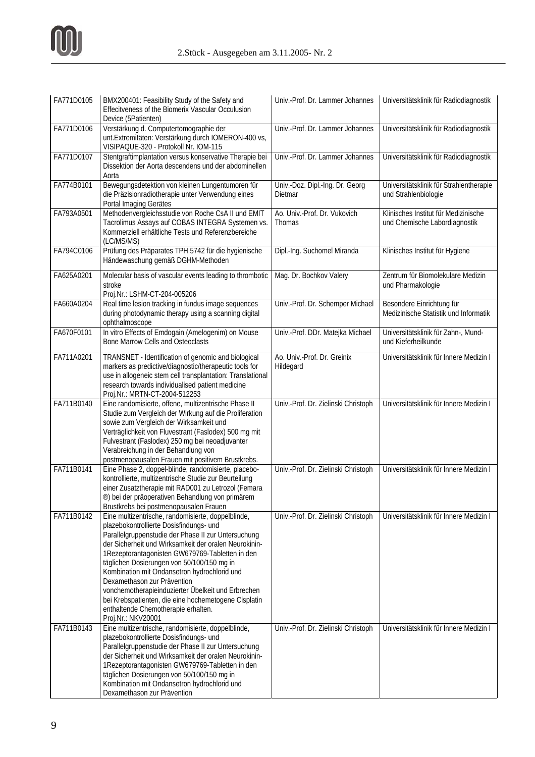| FA771D0105 | BMX200401: Feasibility Study of the Safety and<br>Effecitveness of the Biomerix Vascular Occulusion<br>Device (5Patienten)                                                                                                                                                                                                                                                                                                                                                                                                                                               | Univ.-Prof. Dr. Lammer Johannes            | Universitätsklinik für Radiodiagnostik                                |
|------------|--------------------------------------------------------------------------------------------------------------------------------------------------------------------------------------------------------------------------------------------------------------------------------------------------------------------------------------------------------------------------------------------------------------------------------------------------------------------------------------------------------------------------------------------------------------------------|--------------------------------------------|-----------------------------------------------------------------------|
| FA771D0106 | Verstärkung d. Computertomographie der<br>unt. Extremitäten: Verstärkung durch IOMERON-400 vs,<br>VISIPAQUE-320 - Protokoll Nr. IOM-115                                                                                                                                                                                                                                                                                                                                                                                                                                  | Univ.-Prof. Dr. Lammer Johannes            | Universitätsklinik für Radiodiagnostik                                |
| FA771D0107 | Stentgraftimplantation versus konservative Therapie bei<br>Dissektion der Aorta descendens und der abdominellen<br>Aorta                                                                                                                                                                                                                                                                                                                                                                                                                                                 | Univ.-Prof. Dr. Lammer Johannes            | Universitätsklinik für Radiodiagnostik                                |
| FA774B0101 | Bewegungsdetektion von kleinen Lungentumoren für<br>die Präzisionradiotherapie unter Verwendung eines<br>Portal Imaging Gerätes                                                                                                                                                                                                                                                                                                                                                                                                                                          | Univ.-Doz. Dipl.-Ing. Dr. Georg<br>Dietmar | Universitätsklinik für Strahlentherapie<br>und Strahlenbiologie       |
| FA793A0501 | Methodenvergleichsstudie von Roche CsA II und EMIT<br>Tacrolimus Assays auf COBAS INTEGRA Systemen vs.<br>Kommerziell erhältliche Tests und Referenzbereiche<br>(LC/MS/MS)                                                                                                                                                                                                                                                                                                                                                                                               | Ao. Univ.-Prof. Dr. Vukovich<br>Thomas     | Klinisches Institut für Medizinische<br>und Chemische Labordiagnostik |
| FA794C0106 | Prüfung des Präparates TPH 5742 für die hygienische<br>Händewaschung gemäß DGHM-Methoden                                                                                                                                                                                                                                                                                                                                                                                                                                                                                 | Dipl.-Ing. Suchomel Miranda                | Klinisches Institut für Hygiene                                       |
| FA625A0201 | Molecular basis of vascular events leading to thrombotic<br>stroke<br>Proj.Nr.: LSHM-CT-204-005206                                                                                                                                                                                                                                                                                                                                                                                                                                                                       | Mag. Dr. Bochkov Valery                    | Zentrum für Biomolekulare Medizin<br>und Pharmakologie                |
| FA660A0204 | Real time lesion tracking in fundus image sequences<br>during photodynamic therapy using a scanning digital<br>ophthalmoscope                                                                                                                                                                                                                                                                                                                                                                                                                                            | Univ.-Prof. Dr. Schemper Michael           | Besondere Einrichtung für<br>Medizinische Statistik und Informatik    |
| FA670F0101 | In vitro Effects of Emdogain (Amelogenim) on Mouse<br><b>Bone Marrow Cells and Osteoclasts</b>                                                                                                                                                                                                                                                                                                                                                                                                                                                                           | Univ.-Prof. DDr. Matejka Michael           | Universitätsklinik für Zahn-, Mund-<br>und Kieferheilkunde            |
| FA711A0201 | TRANSNET - Identification of genomic and biological<br>markers as predictive/diagnostic/therapeutic tools for<br>use in allogeneic stem cell transplantation: Translational<br>research towards individualised patient medicine<br>Proj.Nr.: MRTN-CT-2004-512253                                                                                                                                                                                                                                                                                                         | Ao. Univ.-Prof. Dr. Greinix<br>Hildegard   | Universitätsklinik für Innere Medizin I                               |
| FA711B0140 | Eine randomisierte, offene, multizentrische Phase II<br>Studie zum Vergleich der Wirkung auf die Proliferation<br>sowie zum Vergleich der Wirksamkeit und<br>Verträglichkeit von Fluvestrant (Faslodex) 500 mg mit<br>Fulvestrant (Faslodex) 250 mg bei neoadjuvanter<br>Verabreichung in der Behandlung von<br>postmenopausalen Frauen mit positivem Brustkrebs.                                                                                                                                                                                                        | Univ.-Prof. Dr. Zielinski Christoph        | Universitätsklinik für Innere Medizin I                               |
| FA711B0141 | Eine Phase 2, doppel-blinde, randomisierte, placebo-<br>kontrollierte, multizentrische Studie zur Beurteilung<br>einer Zusatztherapie mit RAD001 zu Letrozol (Femara<br>®) bei der präoperativen Behandlung von primärem<br>Brustkrebs bei postmenopausalen Frauen                                                                                                                                                                                                                                                                                                       | Univ.-Prof. Dr. Zielinski Christoph        | Universitätsklinik für Innere Medizin I                               |
| FA711B0142 | Eine multizentrische, randomisierte, doppelblinde,<br>plazebokontrollierte Dosisfindungs- und<br>Parallelgruppenstudie der Phase II zur Untersuchung<br>der Sicherheit und Wirksamkeit der oralen Neurokinin-<br>1Rezeptorantagonisten GW679769-Tabletten in den<br>täglichen Dosierungen von 50/100/150 mg in<br>Kombination mit Ondansetron hydrochlorid und<br>Dexamethason zur Prävention<br>vonchemotherapieinduzierter Übelkeit und Erbrechen<br>bei Krebspatienten, die eine hochemetogene Cisplatin<br>enthaltende Chemotherapie erhalten.<br>Proj.Nr.: NKV20001 | Univ.-Prof. Dr. Zielinski Christoph        | Universitätsklinik für Innere Medizin I                               |
| FA711B0143 | Eine multizentrische, randomisierte, doppelblinde,<br>plazebokontrollierte Dosisfindungs- und<br>Parallelgruppenstudie der Phase II zur Untersuchung<br>der Sicherheit und Wirksamkeit der oralen Neurokinin-<br>1Rezeptorantagonisten GW679769-Tabletten in den<br>täglichen Dosierungen von 50/100/150 mg in<br>Kombination mit Ondansetron hydrochlorid und<br>Dexamethason zur Prävention                                                                                                                                                                            | Univ.-Prof. Dr. Zielinski Christoph        | Universitätsklinik für Innere Medizin I                               |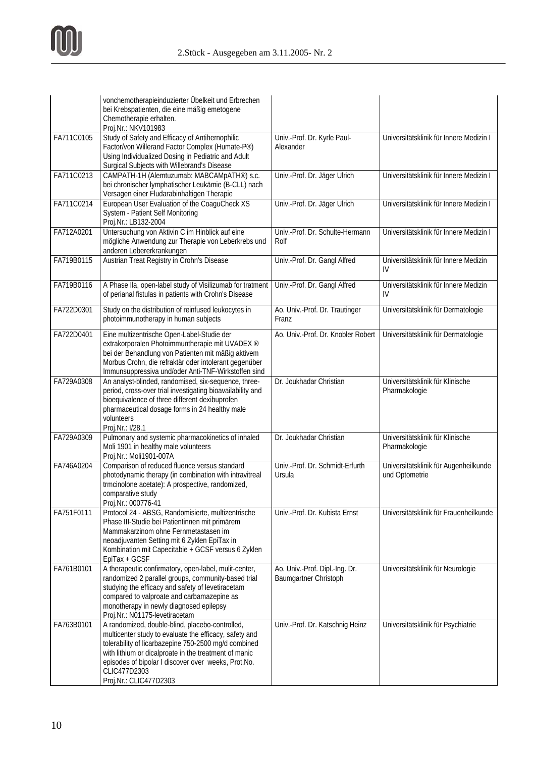|            | vonchemotherapieinduzierter Übelkeit und Erbrechen<br>bei Krebspatienten, die eine mäßig emetogene<br>Chemotherapie erhalten.<br>Proj.Nr.: NKV101983                                                                                                                                                                        |                                                         |                                                         |
|------------|-----------------------------------------------------------------------------------------------------------------------------------------------------------------------------------------------------------------------------------------------------------------------------------------------------------------------------|---------------------------------------------------------|---------------------------------------------------------|
| FA711C0105 | Study of Safety and Efficacy of Antihernophilic<br>Factor/von Willerand Factor Complex (Humate-P®)<br>Using Individualized Dosing in Pediatric and Adult<br>Surgical Subjects with Willebrand's Disease                                                                                                                     | Univ.-Prof. Dr. Kyrle Paul-<br>Alexander                | Universitätsklinik für Innere Medizin I                 |
| FA711C0213 | CAMPATH-1H (Alemtuzumab: MABCAMpATH®) s.c.<br>bei chronischer lymphatischer Leukämie (B-CLL) nach<br>Versagen einer Fludarabinhaltigen Therapie                                                                                                                                                                             | Univ.-Prof. Dr. Jäger Ulrich                            | Universitätsklinik für Innere Medizin I                 |
| FA711C0214 | European User Evaluation of the CoaguCheck XS<br>System - Patient Self Monitoring<br>Proj.Nr.: LB132-2004                                                                                                                                                                                                                   | Univ.-Prof. Dr. Jäger Ulrich                            | Universitätsklinik für Innere Medizin I                 |
| FA712A0201 | Untersuchung von Aktivin C im Hinblick auf eine<br>mögliche Anwendung zur Therapie von Leberkrebs und<br>anderen Lebererkrankungen                                                                                                                                                                                          | Univ.-Prof. Dr. Schulte-Hermann<br>Rolf                 | Universitätsklinik für Innere Medizin I                 |
| FA719B0115 | Austrian Treat Registry in Crohn's Disease                                                                                                                                                                                                                                                                                  | Univ.-Prof. Dr. Gangl Alfred                            | Universitätsklinik für Innere Medizin<br>IV             |
| FA719B0116 | A Phase IIa, open-label study of Visilizumab for tratment<br>of perianal fistulas in patients with Crohn's Disease                                                                                                                                                                                                          | Univ.-Prof. Dr. Gangl Alfred                            | Universitätsklinik für Innere Medizin<br>IV             |
| FA722D0301 | Study on the distribution of reinfused leukocytes in<br>photoimmunotherapy in human subjects                                                                                                                                                                                                                                | Ao. Univ.-Prof. Dr. Trautinger<br>Franz                 | Universitätsklinik für Dermatologie                     |
| FA722D0401 | Eine multizentrische Open-Label-Studie der<br>extrakorporalen Photoimmuntherapie mit UVADEX ®<br>bei der Behandlung von Patienten mit mäßig aktivem<br>Morbus Crohn, die refraktär oder intolerant gegenüber<br>Immunsuppressiva und/oder Anti-TNF-Wirkstoffen sind                                                         | Ao. Univ.-Prof. Dr. Knobler Robert                      | Universitätsklinik für Dermatologie                     |
| FA729A0308 | An analyst-blinded, randomised, six-sequence, three-<br>period, cross-over trial investigating bioavailability and<br>bioequivalence of three different dexibuprofen<br>pharmaceutical dosage forms in 24 healthy male<br>volunteers<br>Proj.Nr.: I/28.1                                                                    | Dr. Joukhadar Christian                                 | Universitätsklinik für Klinische<br>Pharmakologie       |
| FA729A0309 | Pulmonary and systemic pharmacokinetics of inhaled<br>Moli 1901 in healthy male volunteers<br>Proj.Nr.: Moli1901-007A                                                                                                                                                                                                       | Dr. Joukhadar Christian                                 | Universitätsklinik für Klinische<br>Pharmakologie       |
| FA746A0204 | Comparison of reduced fluence versus standard<br>photodynamic therapy (in combination with intravitreal<br>trmcinolone acetate): A prospective, randomized,<br>comparative study<br>Proj.Nr.: 000776-41                                                                                                                     | Univ.-Prof. Dr. Schmidt-Erfurth<br>Ursula               | Universitätsklinik für Augenheilkunde<br>und Optometrie |
| FA751F0111 | Protocol 24 - ABSG, Randomisierte, multizentrische<br>Phase III-Studie bei Patientinnen mit primärem<br>Mammakarzinom ohne Fernmetastasen im<br>neoadjuvanten Setting mit 6 Zyklen EpiTax in<br>Kombination mit Capecitabie + GCSF versus 6 Zyklen<br>EpiTax + GCSF                                                         | Univ.-Prof. Dr. Kubista Ernst                           | Universitätsklinik für Frauenheilkunde                  |
| FA761B0101 | A therapeutic confirmatory, open-label, mulit-center,<br>randomized 2 parallel groups, community-based trial<br>studying the efficacy and safety of levetiracetam<br>compared to valproate and carbamazepine as<br>monotherapy in newly diagnosed epilepsy<br>Proj.Nr.: N01175-levetiracetam                                | Ao. Univ.-Prof. Dipl.-Ing. Dr.<br>Baumgartner Christoph | Universitätsklinik für Neurologie                       |
| FA763B0101 | A randomized, double-blind, placebo-controlled,<br>multicenter study to evaluate the efficacy, safety and<br>tolerability of licarbazepine 750-2500 mg/d combined<br>with lithium or dicalproate in the treatment of manic<br>episodes of bipolar I discover over weeks, Prot.No.<br>CLIC477D2303<br>Proj.Nr.: CLIC477D2303 | Univ.-Prof. Dr. Katschnig Heinz                         | Universitätsklinik für Psychiatrie                      |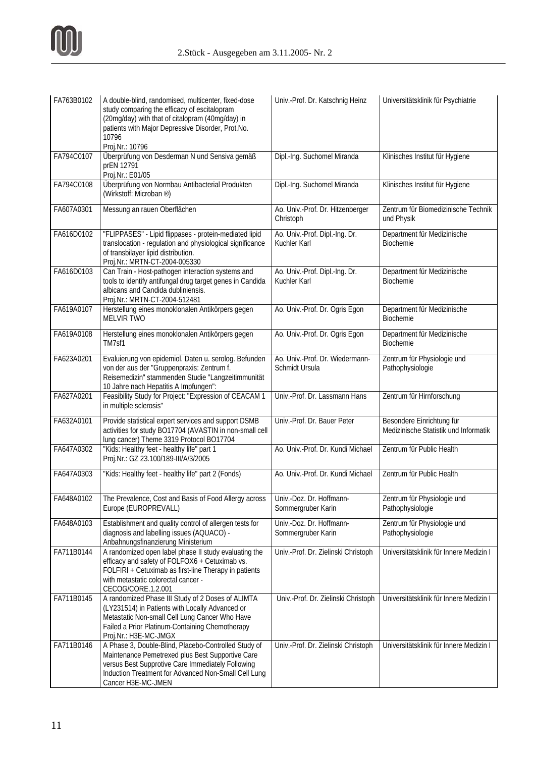

| FA763B0102 | A double-blind, randomised, multicenter, fixed-dose<br>study comparing the efficacy of escitalopram<br>(20mg/day) with that of citalopram (40mg/day) in<br>patients with Major Depressive Disorder, Prot.No.<br>10796<br>Proj.Nr.: 10796    | Univ.-Prof. Dr. Katschnig Heinz                   | Universitätsklinik für Psychiatrie                                 |
|------------|---------------------------------------------------------------------------------------------------------------------------------------------------------------------------------------------------------------------------------------------|---------------------------------------------------|--------------------------------------------------------------------|
| FA794C0107 | Überprüfung von Desderman N und Sensiva gemäß<br>prEN 12791<br>Proj.Nr.: E01/05                                                                                                                                                             | Dipl.-Ing. Suchomel Miranda                       | Klinisches Institut für Hygiene                                    |
| FA794C0108 | Überprüfung von Normbau Antibacterial Produkten<br>(Wirkstoff: Microban ®)                                                                                                                                                                  | Dipl.-Ing. Suchomel Miranda                       | Klinisches Institut für Hygiene                                    |
| FA607A0301 | Messung an rauen Oberflächen                                                                                                                                                                                                                | Ao. Univ.-Prof. Dr. Hitzenberger<br>Christoph     | Zentrum für Biomedizinische Technik<br>und Physik                  |
| FA616D0102 | "FLIPPASES" - Lipid flippases - protein-mediated lipid<br>translocation - regulation and physiological significance<br>of transbilayer lipid distribution.<br>Proj.Nr.: MRTN-CT-2004-005330                                                 | Ao. Univ.-Prof. Dipl.-Ing. Dr.<br>Kuchler Karl    | Department für Medizinische<br>Biochemie                           |
| FA616D0103 | Can Train - Host-pathogen interaction systems and<br>tools to identify antifungal drug target genes in Candida<br>albicans and Candida dubliniensis.<br>Proj.Nr.: MRTN-CT-2004-512481                                                       | Ao. Univ.-Prof. Dipl.-Ing. Dr.<br>Kuchler Karl    | Department für Medizinische<br>Biochemie                           |
| FA619A0107 | Herstellung eines monoklonalen Antikörpers gegen<br><b>MELVIR TWO</b>                                                                                                                                                                       | Ao. Univ.-Prof. Dr. Ogris Egon                    | Department für Medizinische<br>Biochemie                           |
| FA619A0108 | Herstellung eines monoklonalen Antikörpers gegen<br>TM7sf1                                                                                                                                                                                  | Ao. Univ.-Prof. Dr. Ogris Egon                    | Department für Medizinische<br><b>Biochemie</b>                    |
| FA623A0201 | Evaluierung von epidemiol. Daten u. serolog. Befunden<br>von der aus der "Gruppenpraxis: Zentrum f.<br>Reisemedizin" stammenden Studie "Langzeitimmunität<br>10 Jahre nach Hepatitis A Impfungen":                                          | Ao. Univ.-Prof. Dr. Wiedermann-<br>Schmidt Ursula | Zentrum für Physiologie und<br>Pathophysiologie                    |
| FA627A0201 | Feasibility Study for Project: "Expression of CEACAM 1<br>in multiple sclerosis"                                                                                                                                                            | Univ.-Prof. Dr. Lassmann Hans                     | Zentrum für Hirnforschung                                          |
| FA632A0101 | Provide statistical expert services and support DSMB<br>activities for study BO17704 (AVASTIN in non-small cell<br>lung cancer) Theme 3319 Protocol BO17704                                                                                 | Univ.-Prof. Dr. Bauer Peter                       | Besondere Einrichtung für<br>Medizinische Statistik und Informatik |
| FA647A0302 | "Kids: Healthy feet - healthy life" part 1<br>Proj.Nr.: GZ 23.100/189-III/A/3/2005                                                                                                                                                          | Ao. Univ.-Prof. Dr. Kundi Michael                 | Zentrum für Public Health                                          |
| FA647A0303 | "Kids: Healthy feet - healthy life" part 2 (Fonds)                                                                                                                                                                                          | Ao. Univ.-Prof. Dr. Kundi Michael                 | Zentrum für Public Health                                          |
| FA648A0102 | The Prevalence, Cost and Basis of Food Allergy across<br>Europe (EUROPREVALL)                                                                                                                                                               | Univ.-Doz. Dr. Hoffmann-<br>Sommergruber Karin    | Zentrum für Physiologie und<br>Pathophysiologie                    |
| FA648A0103 | Establishment and quality control of allergen tests for<br>diagnosis and labelling issues (AQUACO) -<br>Anbahnungsfinanzierung Ministerium                                                                                                  | Univ.-Doz. Dr. Hoffmann-<br>Sommergruber Karin    | Zentrum für Physiologie und<br>Pathophysiologie                    |
| FA711B0144 | A randomized open label phase II study evaluating the<br>efficacy and safety of FOLFOX6 + Cetuximab vs.<br>FOLFIRI + Cetuximab as first-line Therapy in patients<br>with metastatic colorectal cancer -<br>CECOG/CORE.1.2.001               | Univ.-Prof. Dr. Zielinski Christoph               | Universitätsklinik für Innere Medizin I                            |
| FA711B0145 | A randomized Phase III Study of 2 Doses of ALIMTA<br>(LY231514) in Patients with Locally Advanced or<br>Metastatic Non-small Cell Lung Cancer Who Have<br>Failed a Prior Platinum-Containing Chemotherapy<br>Proj.Nr.: H3E-MC-JMGX          | Univ.-Prof. Dr. Zielinski Christoph               | Universitätsklinik für Innere Medizin I                            |
| FA711B0146 | A Phase 3, Double-Blind, Placebo-Controlled Study of<br>Maintenance Pemetrexed plus Best Supportive Care<br>versus Best Supprotive Care Immediately Following<br>Induction Treatment for Advanced Non-Small Cell Lung<br>Cancer H3E-MC-JMEN | Univ.-Prof. Dr. Zielinski Christoph               | Universitätsklinik für Innere Medizin I                            |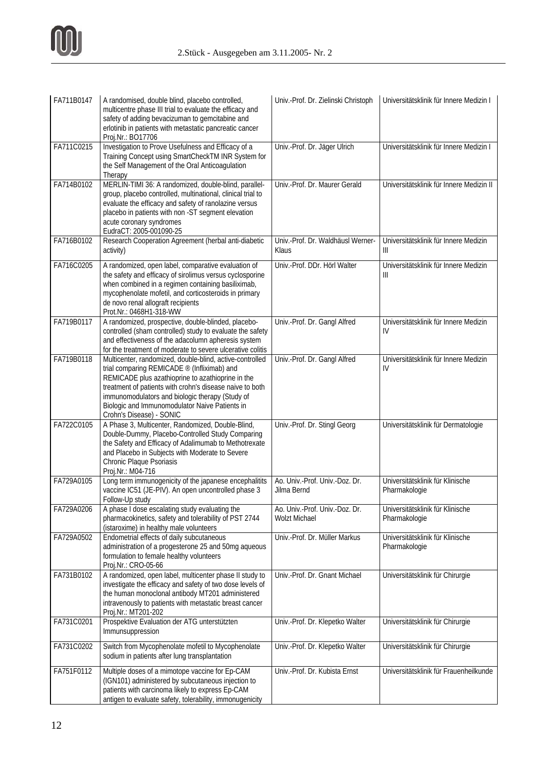

| FA711B0147 | A randomised, double blind, placebo controlled,<br>multicentre phase III trial to evaluate the efficacy and<br>safety of adding bevacizuman to gemcitabine and<br>erlotinib in patients with metastatic pancreatic cancer<br>Proj.Nr.: BO17706                                                                                                            | Univ.-Prof. Dr. Zielinski Christoph                    | Universitätsklinik für Innere Medizin I           |
|------------|-----------------------------------------------------------------------------------------------------------------------------------------------------------------------------------------------------------------------------------------------------------------------------------------------------------------------------------------------------------|--------------------------------------------------------|---------------------------------------------------|
| FA711C0215 | Investigation to Prove Usefulness and Efficacy of a<br>Training Concept using SmartCheckTM INR System for<br>the Self Management of the Oral Anticoagulation<br>Therapy                                                                                                                                                                                   | Univ.-Prof. Dr. Jäger Ulrich                           | Universitätsklinik für Innere Medizin I           |
| FA714B0102 | MERLIN-TIMI 36: A randomized, double-blind, parallel-<br>group, placebo controlled, multinational, clinical trial to<br>evaluate the efficacy and safety of ranolazine versus<br>placebo in patients with non -ST segment elevation<br>acute coronary syndromes<br>EudraCT: 2005-001090-25                                                                | Univ.-Prof. Dr. Maurer Gerald                          | Universitätsklinik für Innere Medizin II          |
| FA716B0102 | Research Cooperation Agreement (herbal anti-diabetic<br>activity)                                                                                                                                                                                                                                                                                         | Univ.-Prof. Dr. Waldhäusl Werner-<br>Klaus             | Universitätsklinik für Innere Medizin<br>Ш        |
| FA716C0205 | A randomized, open label, comparative evaluation of<br>the safety and efficacy of sirolimus versus cyclosporine<br>when combined in a regimen containing basiliximab,<br>mycophenolate mofetil, and corticosteroids in primary<br>de novo renal allograft recipients<br>Prot.Nr.: 0468H1-318-WW                                                           | Univ.-Prof. DDr. Hörl Walter                           | Universitätsklinik für Innere Medizin<br>Ш        |
| FA719B0117 | A randomized, prospective, double-blinded, placebo-<br>controlled (sham controlled) study to evaluate the safety<br>and effectiveness of the adacolumn apheresis system<br>for the treatment of moderate to severe ulcerative colitis                                                                                                                     | Univ.-Prof. Dr. Gangl Alfred                           | Universitätsklinik für Innere Medizin<br>IV       |
| FA719B0118 | Multicenter, randomized, double-blind, active-controlled<br>trial comparing REMICADE ® (Infliximab) and<br>REMICADE plus azathioprine to azathioprine in the<br>treatment of patients with crohn's disease naive to both<br>immunomodulators and biologic therapy (Study of<br>Biologic and Immunomodulator Naive Patients in<br>Crohn's Disease) - SONIC | Univ.-Prof. Dr. Gangl Alfred                           | Universitätsklinik für Innere Medizin<br>IV       |
| FA722C0105 | A Phase 3, Multicenter, Randomized, Double-Blind,<br>Double-Dummy, Placebo-Controlled Study Comparing<br>the Safety and Efficacy of Adalimumab to Methotrexate<br>and Placebo in Subjects with Moderate to Severe<br>Chronic Plaque Psoriasis<br>Proj.Nr.: M04-716                                                                                        | Univ.-Prof. Dr. Stingl Georg                           | Universitätsklinik für Dermatologie               |
| FA729A0105 | Long term immunogenicity of the japanese encephalitits<br>vaccine IC51 (JE-PIV). An open uncontrolled phase 3<br>Follow-Up study                                                                                                                                                                                                                          | Ao. Univ.-Prof. Univ.-Doz. Dr.<br>Jilma Bernd          | Universitätsklinik für Klinische<br>Pharmakologie |
| FA729A0206 | A phase I dose escalating study evaluating the<br>pharmacokinetics, safety and tolerability of PST 2744<br>(istaroxime) in healthy male volunteers                                                                                                                                                                                                        | Ao. Univ.-Prof. Univ.-Doz. Dr.<br><b>Wolzt Michael</b> | Universitätsklinik für Klinische<br>Pharmakologie |
| FA729A0502 | Endometrial effects of daily subcutaneous<br>administration of a progesterone 25 and 50mg aqueous<br>formulation to female healthy volunteers<br>Proj.Nr.: CRO-05-66                                                                                                                                                                                      | Univ.-Prof. Dr. Müller Markus                          | Universitätsklinik für Klinische<br>Pharmakologie |
| FA731B0102 | A randomized, open label, multicenter phase II study to<br>investigate the efficacy and safety of two dose levels of<br>the human monoclonal antibody MT201 administered<br>intravenously to patients with metastatic breast cancer<br>Proj.Nr.: MT201-202                                                                                                | Univ.-Prof. Dr. Gnant Michael                          | Universitätsklinik für Chirurgie                  |
| FA731C0201 | Prospektive Evaluation der ATG unterstützten<br>Immunsuppression                                                                                                                                                                                                                                                                                          | Univ.-Prof. Dr. Klepetko Walter                        | Universitätsklinik für Chirurgie                  |
| FA731C0202 | Switch from Mycophenolate mofetil to Mycophenolate<br>sodium in patients after lung transplantation                                                                                                                                                                                                                                                       | Univ.-Prof. Dr. Klepetko Walter                        | Universitätsklinik für Chirurgie                  |
| FA751F0112 | Multiple doses of a mimotope vaccine for Ep-CAM<br>(IGN101) administered by subcutaneous injection to<br>patients with carcinoma likely to express Ep-CAM<br>antigen to evaluate safety, tolerability, immonugenicity                                                                                                                                     | Univ.-Prof. Dr. Kubista Ernst                          | Universitätsklinik für Frauenheilkunde            |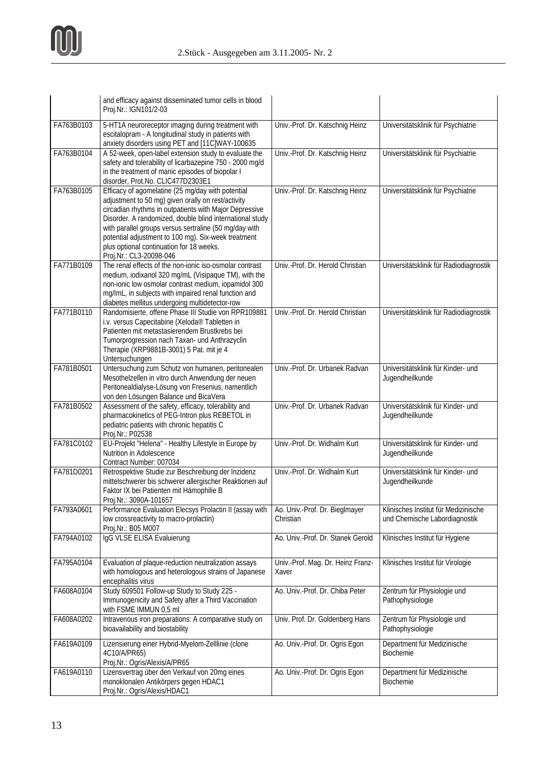

|            | and efficacy against disseminated tumor cells in blood<br>Proj.Nr.: IGN101/2-03                                                                                                                                                                                                                                                                                                                                       |                                             |                                                                       |
|------------|-----------------------------------------------------------------------------------------------------------------------------------------------------------------------------------------------------------------------------------------------------------------------------------------------------------------------------------------------------------------------------------------------------------------------|---------------------------------------------|-----------------------------------------------------------------------|
| FA763B0103 | 5-HT1A neuroreceptor imaging during treatment with<br>escitalopram - A longitudinal study in patients with<br>anxiety disorders using PET and [11C]WAY-100635                                                                                                                                                                                                                                                         | Univ.-Prof. Dr. Katschnig Heinz             | Universitätsklinik für Psychiatrie                                    |
| FA763B0104 | A 52-week, open-label extension study to evaluate the<br>safety and tolerability of licarbazepine 750 - 2000 mg/d<br>in the treatment of manic episodes of biopolar I<br>disorder, Prot.No. CLIC477D2303E1                                                                                                                                                                                                            | Univ.-Prof. Dr. Katschnig Heinz             | Universitätsklinik für Psychiatrie                                    |
| FA763B0105 | Efficacy of agomelatine (25 mg/day with potential<br>adjustment to 50 mg) given orally on rest/activity<br>circadian rhythms in outpatients with Major Depressive<br>Disorder. A randomized, double blind international study<br>with parallel groups versus sertraline (50 mg/day with<br>potential adjustment to 100 mg). Six-week treatment<br>plus optional continuation for 18 weeks.<br>Proj.Nr.: CL3-20098-046 | Univ.-Prof. Dr. Katschnig Heinz             | Universitätsklinik für Psychiatrie                                    |
| FA771B0109 | The renal effects of the non-ionic iso-osmolar contrast<br>medium, iodixanol 320 mg/mL (Visipaque TM), with the<br>non-ionic low osmolar contrast medium, iopamidol 300<br>mg/lmL, in subjects with impaired renal function and<br>diabetes mellitus undergoing multidetector-row                                                                                                                                     | Univ.-Prof. Dr. Herold Christian            | Universitätsklinik für Radiodiagnostik                                |
| FA771B0110 | Randomisierte, offene Phase III Studie von RPR109881<br>i.v. versus Capecitabine (Xeloda® Tabletten in<br>Patienten mit metastasierendem Brustkrebs bei<br>Tumorprogression nach Taxan- und Anthrazyclin<br>Therapie (XRP9881B-3001) 5 Pat. mit je 4<br>Untersuchungen                                                                                                                                                | Univ.-Prof. Dr. Herold Christian            | Universitätsklinik für Radiodiagnostik                                |
| FA781B0501 | Untersuchung zum Schutz von humanen, peritonealen<br>Mesothelzellen in vitro durch Anwendung der neuen<br>Peritonealdialyse-Lösung von Fresenius, namentlich<br>von den Lösungen Balance und BicaVera                                                                                                                                                                                                                 | Univ.-Prof. Dr. Urbanek Radvan              | Universitätsklinik für Kinder- und<br>Jugendheilkunde                 |
| FA781B0502 | Assessment of the safety, efficacy, tolerability and<br>pharmacokinetics of PEG-Intron plus REBETOL in<br>pediatric patients with chronic hepatitis C<br>Proj.Nr.: P02538                                                                                                                                                                                                                                             | Univ.-Prof. Dr. Urbanek Radvan              | Universitätsklinik für Kinder- und<br>Jugendheilkunde                 |
| FA781C0102 | EU-Projekt "Helena" - Healthy Lifestyle in Europe by<br>Nutrition in Adolescence<br>Contract Number: 007034                                                                                                                                                                                                                                                                                                           | Univ.-Prof. Dr. Widhalm Kurt                | Universitätsklinik für Kinder- und<br>Jugendheilkunde                 |
| FA781D0201 | Retrospektive Studie zur Beschreibung der Inzidenz<br>mittelschwerer bis schwerer allergischer Reaktionen auf<br>Faktor IX bei Patienten mit Hämophilie B<br>Proj.Nr.: 3090A-101657                                                                                                                                                                                                                                   | Univ.-Prof. Dr. Widhalm Kurt                | Universitätsklinik für Kinder- und<br>Jugendheilkunde                 |
| FA793A0601 | Performance Evaluation Elecsys Prolactin II (assay with<br>low crossreactivity to macro-prolactin)<br>Proj.Nr.: B05 M007                                                                                                                                                                                                                                                                                              | Ao. Univ.-Prof. Dr. Bieglmayer<br>Christian | Klinisches Institut für Medizinische<br>und Chemische Labordiagnostik |
| FA794A0102 | IgG VLSE ELISA Evaluierung                                                                                                                                                                                                                                                                                                                                                                                            | Ao. Univ.-Prof. Dr. Stanek Gerold           | Klinisches Institut für Hygiene                                       |
| FA795A0104 | Evaluation of plaque-reduction neutralization assays<br>with homologous and heterologous strains of Japanese<br>encephalitis virus                                                                                                                                                                                                                                                                                    | Univ.-Prof. Mag. Dr. Heinz Franz-<br>Xaver  | Klinisches Institut für Virologie                                     |
| FA608A0104 | Study 609501 Follow-up Study to Study 225 -<br>Immunogenicity and Safety after a Third Vaccination<br>with FSME IMMUN 0,5 ml                                                                                                                                                                                                                                                                                          | Ao. Univ.-Prof. Dr. Chiba Peter             | Zentrum für Physiologie und<br>Pathophysiologie                       |
| FA608A0202 | Intravenous iron preparations: A comparative study on<br>bioavailability and biostability                                                                                                                                                                                                                                                                                                                             | Univ. Prof. Dr. Goldenberg Hans             | Zentrum für Physiologie und<br>Pathophysiologie                       |
| FA619A0109 | Lizensierung einer Hybrid-Myelom-Zelllinie (clone<br>4C10/A/PR65)<br>Proj.Nr.: Ogris/Alexis/A/PR65                                                                                                                                                                                                                                                                                                                    | Ao. Univ.-Prof. Dr. Ogris Egon              | Department für Medizinische<br>Biochemie                              |
| FA619A0110 | Lizensvertrag über den Verkauf von 20mg eines<br>monoklonalen Antikörpers gegen HDAC1<br>Proj.Nr.: Ogris/Alexis/HDAC1                                                                                                                                                                                                                                                                                                 | Ao. Univ.-Prof. Dr. Ogris Egon              | Department für Medizinische<br>Biochemie                              |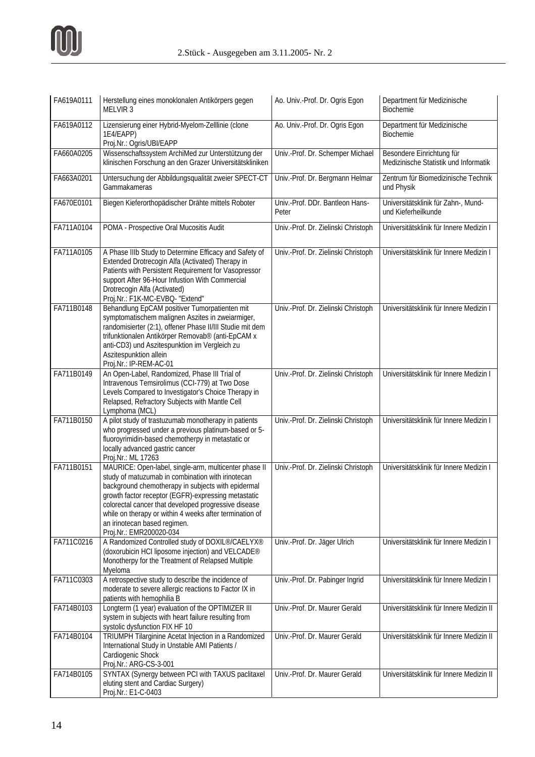

| FA619A0111 | Herstellung eines monoklonalen Antikörpers gegen<br>MELVIR <sub>3</sub>                                                                                                                                                                                                                                                                                                                               | Ao. Univ.-Prof. Dr. Ogris Egon           | Department für Medizinische<br>Biochemie                           |
|------------|-------------------------------------------------------------------------------------------------------------------------------------------------------------------------------------------------------------------------------------------------------------------------------------------------------------------------------------------------------------------------------------------------------|------------------------------------------|--------------------------------------------------------------------|
| FA619A0112 | Lizensierung einer Hybrid-Myelom-Zelllinie (clone<br>1E4/EAPP)<br>Proj.Nr.: Ogris/UBI/EAPP                                                                                                                                                                                                                                                                                                            | Ao. Univ.-Prof. Dr. Ogris Egon           | Department für Medizinische<br>Biochemie                           |
| FA660A0205 | Wissenschaftssystem ArchiMed zur Unterstützung der<br>klinischen Forschung an den Grazer Universitätskliniken                                                                                                                                                                                                                                                                                         | Univ.-Prof. Dr. Schemper Michael         | Besondere Einrichtung für<br>Medizinische Statistik und Informatik |
| FA663A0201 | Untersuchung der Abbildungsqualität zweier SPECT-CT<br>Gammakameras                                                                                                                                                                                                                                                                                                                                   | Univ.-Prof. Dr. Bergmann Helmar          | Zentrum für Biomedizinische Technik<br>und Physik                  |
| FA670E0101 | Biegen Kieferorthopädischer Drähte mittels Roboter                                                                                                                                                                                                                                                                                                                                                    | Univ.-Prof. DDr. Bantleon Hans-<br>Peter | Universitätsklinik für Zahn-, Mund-<br>und Kieferheilkunde         |
| FA711A0104 | POMA - Prospective Oral Mucositis Audit                                                                                                                                                                                                                                                                                                                                                               | Univ.-Prof. Dr. Zielinski Christoph      | Universitätsklinik für Innere Medizin I                            |
| FA711A0105 | A Phase IIIb Study to Determine Efficacy and Safety of<br>Extended Drotrecogin Alfa (Activated) Therapy in<br>Patients with Persistent Requirement for Vasopressor<br>support After 96-Hour Infustion With Commercial<br>Drotrecogin Alfa (Activated)<br>Proj.Nr.: F1K-MC-EVBQ- "Extend"                                                                                                              | Univ.-Prof. Dr. Zielinski Christoph      | Universitätsklinik für Innere Medizin I                            |
| FA711B0148 | Behandlung EpCAM positiver Tumorpatienten mit<br>symptomatischem malignen Aszites in zweiarmiger,<br>randomisierter (2:1), offener Phase II/III Studie mit dem<br>trifunktionalen Antikörper Removab® (anti-EpCAM x<br>anti-CD3) und Aszitespunktion im Vergleich zu<br>Aszitespunktion allein<br>Proj.Nr.: IP-REM-AC-01                                                                              | Univ.-Prof. Dr. Zielinski Christoph      | Universitätsklinik für Innere Medizin I                            |
| FA711B0149 | An Open-Label, Randomized, Phase III Trial of<br>Intravenous Temsirolimus (CCI-779) at Two Dose<br>Levels Compared to Investigator's Choice Therapy in<br>Relapsed, Refractory Subjects with Mantle Cell<br>Lymphoma (MCL)                                                                                                                                                                            | Univ.-Prof. Dr. Zielinski Christoph      | Universitätsklinik für Innere Medizin I                            |
| FA711B0150 | A pilot study of trastuzumab monotherapy in patients<br>who progressed under a previous platinum-based or 5-<br>fluoroyrimidin-based chemotherpy in metastatic or<br>locally advanced gastric cancer<br>Proj.Nr.: ML 17263                                                                                                                                                                            | Univ.-Prof. Dr. Zielinski Christoph      | Universitätsklinik für Innere Medizin I                            |
| FA711B0151 | MAURICE: Open-label, single-arm, multicenter phase II<br>study of matuzumab in combination with irinotecan<br>background chemotherapy in subjects with epidermal<br>growth factor receptor (EGFR)-expressing metastatic<br>colorectal cancer that developed progressive disease<br>while on therapy or within 4 weeks after termination of<br>an irinotecan based regimen.<br>Proj.Nr.: EMR200020-034 | Univ.-Prof. Dr. Zielinski Christoph      | Universitätsklinik für Innere Medizin I                            |
| FA711C0216 | A Randomized Controlled study of DOXIL®/CAELYX®<br>(doxorubicin HCI liposome injection) and VELCADE <sup>®</sup><br>Monotherpy for the Treatment of Relapsed Multiple<br>Myeloma                                                                                                                                                                                                                      | Univ.-Prof. Dr. Jäger Ulrich             | Universitätsklinik für Innere Medizin I                            |
| FA711C0303 | A retrospective study to describe the incidence of<br>moderate to severe allergic reactions to Factor IX in<br>patients with hemophilia B                                                                                                                                                                                                                                                             | Univ.-Prof. Dr. Pabinger Ingrid          | Universitätsklinik für Innere Medizin I                            |
| FA714B0103 | Longterm (1 year) evaluation of the OPTIMIZER III<br>system in subjects with heart failure resulting from<br>systolic dysfunction FIX HF 10                                                                                                                                                                                                                                                           | Univ.-Prof. Dr. Maurer Gerald            | Universitätsklinik für Innere Medizin II                           |
| FA714B0104 | TRIUMPH Tilarginine Acetat Injection in a Randomized<br>International Study in Unstable AMI Patients /<br>Cardiogenic Shock<br>Proj.Nr.: ARG-CS-3-001                                                                                                                                                                                                                                                 | Univ.-Prof. Dr. Maurer Gerald            | Universitätsklinik für Innere Medizin II                           |
| FA714B0105 | SYNTAX (Synergy between PCI with TAXUS paclitaxel<br>eluting stent and Cardiac Surgery)<br>Proj.Nr.: E1-C-0403                                                                                                                                                                                                                                                                                        | Univ.-Prof. Dr. Maurer Gerald            | Universitätsklinik für Innere Medizin II                           |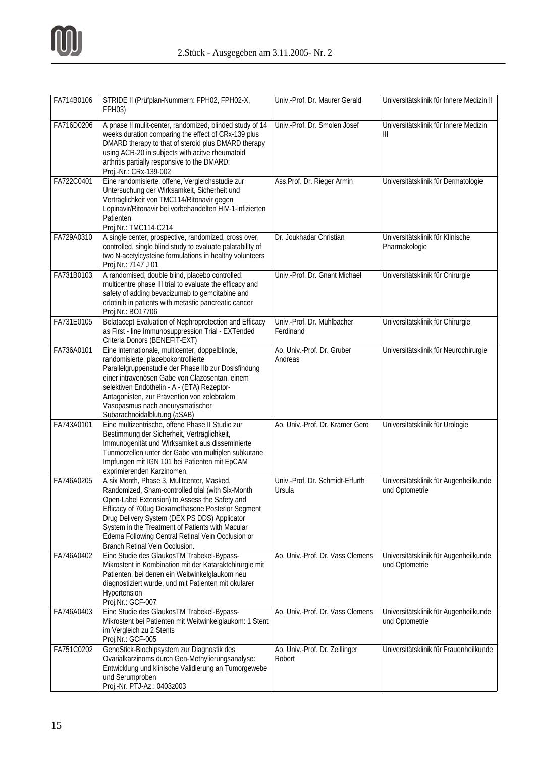

| FA714B0106 | STRIDE II (Prüfplan-Nummern: FPH02, FPH02-X,<br>FPH03)                                                                                                                                                                                                                                                                                                                                            | Univ.-Prof. Dr. Maurer Gerald             | Universitätsklinik für Innere Medizin II                |
|------------|---------------------------------------------------------------------------------------------------------------------------------------------------------------------------------------------------------------------------------------------------------------------------------------------------------------------------------------------------------------------------------------------------|-------------------------------------------|---------------------------------------------------------|
| FA716D0206 | A phase II mulit-center, randomized, blinded study of 14<br>weeks duration comparing the effect of CRx-139 plus<br>DMARD therapy to that of steroid plus DMARD therapy<br>using ACR-20 in subjects with acitve rheumatoid<br>arthritis partially responsive to the DMARD:<br>Proj.-Nr.: CRx-139-002                                                                                               | Univ.-Prof. Dr. Smolen Josef              | Universitätsklinik für Innere Medizin<br>Ш              |
| FA722C0401 | Eine randomisierte, offene, Vergleichsstudie zur<br>Untersuchung der Wirksamkeit, Sicherheit und<br>Verträglichkeit von TMC114/Ritonavir gegen<br>Lopinavir/Ritonavir bei vorbehandelten HIV-1-infizierten<br>Patienten<br>Proj.Nr.: TMC114-C214                                                                                                                                                  | Ass. Prof. Dr. Rieger Armin               | Universitätsklinik für Dermatologie                     |
| FA729A0310 | A single center, prospective, randomized, cross over,<br>controlled, single blind study to evaluate palatability of<br>two N-acetylcysteine formulations in healthy volunteers<br>Proj.Nr.: 7147 J 01                                                                                                                                                                                             | Dr. Joukhadar Christian                   | Universitätsklinik für Klinische<br>Pharmakologie       |
| FA731B0103 | A randomised, double blind, placebo controlled,<br>multicentre phase III trial to evaluate the efficacy and<br>safety of adding bevacizumab to gemcitabine and<br>erlotinib in patients with metastic pancreatic cancer<br>Proj.Nr.: BO17706                                                                                                                                                      | Univ.-Prof. Dr. Gnant Michael             | Universitätsklinik für Chirurgie                        |
| FA731E0105 | Belatacept Evaluation of Nephroprotection and Efficacy<br>as First - line Immunosuppression Trial - EXTended<br>Criteria Donors (BENEFIT-EXT)                                                                                                                                                                                                                                                     | Univ.-Prof. Dr. Mühlbacher<br>Ferdinand   | Universitätsklinik für Chirurgie                        |
| FA736A0101 | Eine internationale, multicenter, doppelblinde,<br>randomisierte, placebokontrollierte<br>Parallelgruppenstudie der Phase IIb zur Dosisfindung<br>einer intravenösen Gabe von Clazosentan, einem<br>selektiven Endothelin - A - (ETA) Rezeptor-<br>Antagonisten, zur Prävention von zelebralem<br>Vasopasmus nach aneurysmatischer<br>Subarachnoidalblutung (aSAB)                                | Ao. Univ.-Prof. Dr. Gruber<br>Andreas     | Universitätsklinik für Neurochirurgie                   |
| FA743A0101 | Eine multizentrische, offene Phase II Studie zur<br>Bestimmung der Sicherheit, Verträglichkeit,<br>Immunogenität und Wirksamkeit aus disseminierte<br>Tunmorzellen unter der Gabe von multiplen subkutane<br>Impfungen mit IGN 101 bei Patienten mit EpCAM<br>exprimierenden Karzinomen.                                                                                                          | Ao. Univ.-Prof. Dr. Kramer Gero           | Universitätsklinik für Urologie                         |
| FA746A0205 | A six Month, Phase 3, Mulitcenter, Masked,<br>Randomized, Sham-controlled trial (with Six-Month<br>Open-Label Extension) to Assess the Safety and<br>Efficacy of 700ug Dexamethasone Posterior Segment<br>Drug Delivery System (DEX PS DDS) Applicator<br>System in the Treatment of Patients with Macular<br>Edema Following Central Retinal Vein Occlusion or<br>Branch Retinal Vein Occlusion. | Univ.-Prof. Dr. Schmidt-Erfurth<br>Ursula | Universitätsklinik für Augenheilkunde<br>und Optometrie |
| FA746A0402 | Eine Studie des GlaukosTM Trabekel-Bypass-<br>Mikrostent in Kombination mit der Kataraktchirurgie mit<br>Patienten, bei denen ein Weitwinkelglaukom neu<br>diagnostiziert wurde, und mit Patienten mit okularer<br>Hypertension<br>Proj.Nr.: GCF-007                                                                                                                                              | Ao. Univ.-Prof. Dr. Vass Clemens          | Universitätsklinik für Augenheilkunde<br>und Optometrie |
| FA746A0403 | Eine Studie des GlaukosTM Trabekel-Bypass-<br>Mikrostent bei Patienten mit Weitwinkelglaukom: 1 Stent<br>im Vergleich zu 2 Stents<br>Proj.Nr.: GCF-005                                                                                                                                                                                                                                            | Ao. Univ.-Prof. Dr. Vass Clemens          | Universitätsklinik für Augenheilkunde<br>und Optometrie |
| FA751C0202 | GeneStick-Biochipsystem zur Diagnostik des<br>Ovarialkarzinoms durch Gen-Methylierungsanalyse:<br>Entwicklung und klinische Validierung an Tumorgewebe<br>und Serumproben<br>Proj.-Nr. PTJ-Az.: 0403z003                                                                                                                                                                                          | Ao. Univ.-Prof. Dr. Zeillinger<br>Robert  | Universitätsklinik für Frauenheilkunde                  |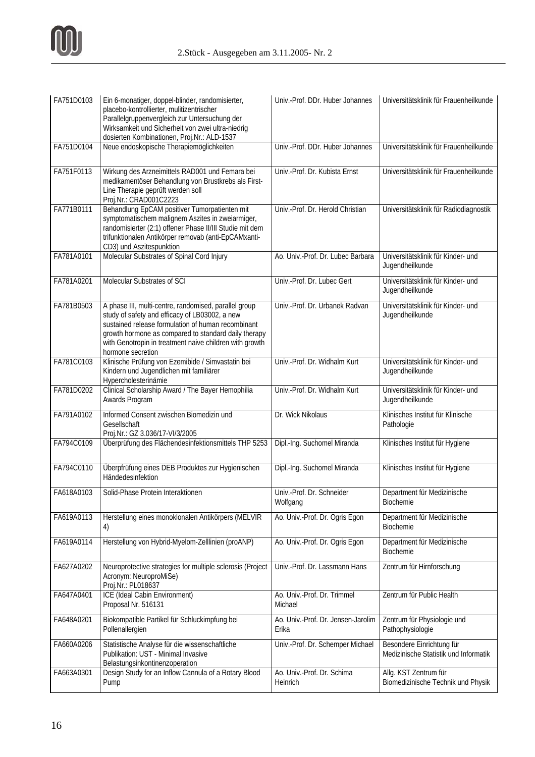

| FA751D0103 | Ein 6-monatiger, doppel-blinder, randomisierter,<br>placebo-kontrollierter, mulitizentrischer<br>Parallelgruppenvergleich zur Untersuchung der<br>Wirksamkeit und Sicherheit von zwei ultra-niedrig<br>dosierten Kombinationen, Proj.Nr.: ALD-1537                                                    | Univ.-Prof. DDr. Huber Johannes             | Universitätsklinik für Frauenheilkunde                             |
|------------|-------------------------------------------------------------------------------------------------------------------------------------------------------------------------------------------------------------------------------------------------------------------------------------------------------|---------------------------------------------|--------------------------------------------------------------------|
| FA751D0104 | Neue endoskopische Therapiemöglichkeiten                                                                                                                                                                                                                                                              | Univ.-Prof. DDr. Huber Johannes             | Universitätsklinik für Frauenheilkunde                             |
| FA751F0113 | Wirkung des Arzneimittels RAD001 und Femara bei<br>medikamentöser Behandlung von Brustkrebs als First-<br>Line Therapie geprüft werden soll<br>Proj.Nr.: CRAD001C2223                                                                                                                                 | Univ.-Prof. Dr. Kubista Ernst               | Universitätsklinik für Frauenheilkunde                             |
| FA771B0111 | Behandlung EpCAM positiver Tumorpatienten mit<br>symptomatischem malignem Aszites in zweiarmiger,<br>randomisierter (2:1) offener Phase II/III Studie mit dem<br>trifunktionalen Antikörper removab (anti-EpCAMxanti-<br>CD3) und Aszitespunktion                                                     | Univ.-Prof. Dr. Herold Christian            | Universitätsklinik für Radiodiagnostik                             |
| FA781A0101 | Molecular Substrates of Spinal Cord Injury                                                                                                                                                                                                                                                            | Ao. Univ.-Prof. Dr. Lubec Barbara           | Universitätsklinik für Kinder- und<br>Jugendheilkunde              |
| FA781A0201 | Molecular Substrates of SCI                                                                                                                                                                                                                                                                           | Univ.-Prof. Dr. Lubec Gert                  | Universitätsklinik für Kinder- und<br>Jugendheilkunde              |
| FA781B0503 | A phase III, multi-centre, randomised, parallel group<br>study of safety and efficacy of LB03002, a new<br>sustained release formulation of human recombinant<br>growth hormone as compared to standard daily therapy<br>with Genotropin in treatment naive children with growth<br>hormone secretion | Univ.-Prof. Dr. Urbanek Radvan              | Universitätsklinik für Kinder- und<br>Jugendheilkunde              |
| FA781C0103 | Klinische Prüfung von Ezemibide / Simvastatin bei<br>Kindern und Jugendlichen mit familiärer<br>Hypercholesterinämie                                                                                                                                                                                  | Univ.-Prof. Dr. Widhalm Kurt                | Universitätsklinik für Kinder- und<br>Jugendheilkunde              |
| FA781D0202 | Clinical Scholarship Award / The Bayer Hemophilia<br>Awards Program                                                                                                                                                                                                                                   | Univ.-Prof. Dr. Widhalm Kurt                | Universitätsklinik für Kinder- und<br>Jugendheilkunde              |
| FA791A0102 | Informed Consent zwischen Biomedizin und<br>Gesellschaft<br>Proj.Nr.: GZ 3.036/17-VI/3/2005                                                                                                                                                                                                           | Dr. Wick Nikolaus                           | Klinisches Institut für Klinische<br>Pathologie                    |
| FA794C0109 | Überprüfung des Flächendesinfektionsmittels THP 5253                                                                                                                                                                                                                                                  | Dipl.-Ing. Suchomel Miranda                 | Klinisches Institut für Hygiene                                    |
| FA794C0110 | Überpfrüfung eines DEB Produktes zur Hygienischen<br>Händedesinfektion                                                                                                                                                                                                                                | Dipl.-Ing. Suchomel Miranda                 | Klinisches Institut für Hygiene                                    |
| FA618A0103 | Solid-Phase Protein Interaktionen                                                                                                                                                                                                                                                                     | Univ.-Prof. Dr. Schneider<br>Wolfgang       | Department für Medizinische<br>Biochemie                           |
| FA619A0113 | Herstellung eines monoklonalen Antikörpers (MELVIR<br>4)                                                                                                                                                                                                                                              | Ao. Univ.-Prof. Dr. Ogris Egon              | Department für Medizinische<br>Biochemie                           |
| FA619A0114 | Herstellung von Hybrid-Myelom-Zelllinien (proANP)                                                                                                                                                                                                                                                     | Ao. Univ.-Prof. Dr. Ogris Egon              | Department für Medizinische<br>Biochemie                           |
| FA627A0202 | Neuroprotective strategies for multiple sclerosis (Project<br>Acronym: NeuroproMiSe)<br>Proj.Nr.: PL018637                                                                                                                                                                                            | Univ.-Prof. Dr. Lassmann Hans               | Zentrum für Hirnforschung                                          |
| FA647A0401 | ICE (Ideal Cabin Environment)<br>Proposal Nr. 516131                                                                                                                                                                                                                                                  | Ao. Univ.-Prof. Dr. Trimmel<br>Michael      | Zentrum für Public Health                                          |
| FA648A0201 | Biokompatible Partikel für Schluckimpfung bei<br>Pollenallergien                                                                                                                                                                                                                                      | Ao. Univ.-Prof. Dr. Jensen-Jarolim<br>Erika | Zentrum für Physiologie und<br>Pathophysiologie                    |
| FA660A0206 | Statistische Analyse für die wissenschaftliche<br>Publikation: UST - Minimal Invasive<br>Belastungsinkontinenzoperation                                                                                                                                                                               | Univ.-Prof. Dr. Schemper Michael            | Besondere Einrichtung für<br>Medizinische Statistik und Informatik |
| FA663A0301 | Design Study for an Inflow Cannula of a Rotary Blood<br>Pump                                                                                                                                                                                                                                          | Ao. Univ.-Prof. Dr. Schima<br>Heinrich      | Allg. KST Zentrum für<br>Biomedizinische Technik und Physik        |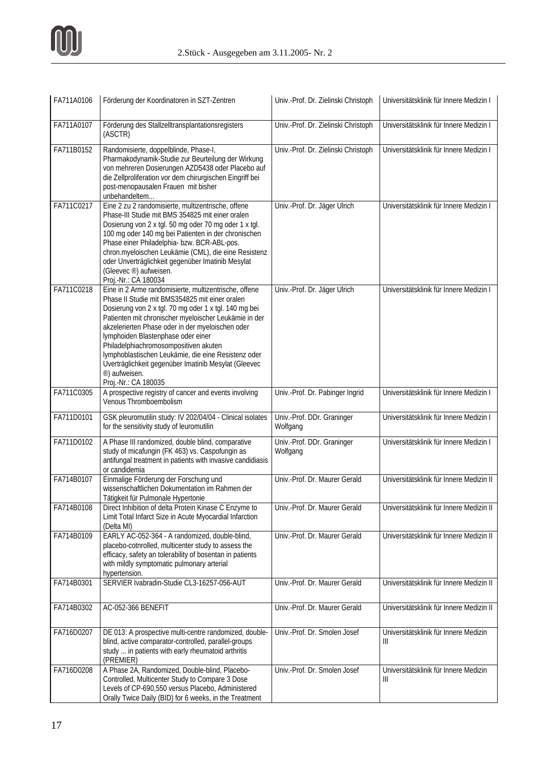

| FA711A0106 | Förderung der Koordinatoren in SZT-Zentren                                                                                                                                                                                                                                                                                                                                                                                                                                                                           | Univ.-Prof. Dr. Zielinski Christoph    | Universitätsklinik für Innere Medizin I    |
|------------|----------------------------------------------------------------------------------------------------------------------------------------------------------------------------------------------------------------------------------------------------------------------------------------------------------------------------------------------------------------------------------------------------------------------------------------------------------------------------------------------------------------------|----------------------------------------|--------------------------------------------|
| FA711A0107 | Förderung des Stallzelltransplantationsregisters<br>(ASCTR)                                                                                                                                                                                                                                                                                                                                                                                                                                                          | Univ.-Prof. Dr. Zielinski Christoph    | Universitätsklinik für Innere Medizin I    |
| FA711B0152 | Randomisierte, doppelblinde, Phase-I,<br>Pharmakodynamik-Studie zur Beurteilung der Wirkung<br>von mehreren Dosierungen AZD5438 oder Placebo auf<br>die Zellproliferation vor dem chirurgischen Eingriff bei<br>post-menopausalen Frauen mit bisher<br>unbehandeltem                                                                                                                                                                                                                                                 | Univ.-Prof. Dr. Zielinski Christoph    | Universitätsklinik für Innere Medizin I    |
| FA711C0217 | Eine 2 zu 2 randomisierte, multizentrische, offene<br>Phase-III Studie mit BMS 354825 mit einer oralen<br>Dosierung von 2 x tgl. 50 mg oder 70 mg oder 1 x tgl.<br>100 mg oder 140 mg bei Patienten in der chronischen<br>Phase einer Philadelphia- bzw. BCR-ABL-pos.<br>chron.myeloischen Leukämie (CML), die eine Resistenz<br>oder Unverträglichkeit gegenüber Imatinib Mesylat<br>(Gleevec ®) aufweisen.<br>Proj.-Nr.: CA 180034                                                                                 | Univ.-Prof. Dr. Jäger Ulrich           | Universitätsklinik für Innere Medizin I    |
| FA711C0218 | Eine in 2 Arme randomisierte, multizentrische, offene<br>Phase II Studie mit BMS354825 mit einer oralen<br>Dosierung von 2 x tgl. 70 mg oder 1 x tgl. 140 mg bei<br>Patienten mit chronischer myeloischer Leukämie in der<br>akzelerierten Phase oder in der myeloischen oder<br>lymphoiden Blastenphase oder einer<br>Philadelphiachromosompositiven akuten<br>lymphoblastischen Leukämie, die eine Resistenz oder<br>Uverträglichkeit gegenüber Imatinib Mesylat (Gleevec<br>®) aufweisen.<br>Proj.-Nr.: CA 180035 | Univ.-Prof. Dr. Jäger Ulrich           | Universitätsklinik für Innere Medizin I    |
| FA711C0305 | A prospective registry of cancer and events involving<br>Venous Thromboembolism                                                                                                                                                                                                                                                                                                                                                                                                                                      | Univ.-Prof. Dr. Pabinger Ingrid        | Universitätsklinik für Innere Medizin I    |
| FA711D0101 | GSK pleuromutilin study: IV 202/04/04 - Clinical isolates<br>for the sensitivity study of leuromutilin                                                                                                                                                                                                                                                                                                                                                                                                               | Univ.-Prof. DDr. Graninger<br>Wolfgang | Universitätsklinik für Innere Medizin I    |
| FA711D0102 | A Phase III randomized, double blind, comparative<br>study of micafungin (FK 463) vs. Caspofungin as<br>antifungal treatment in patients with invasive candidiasis<br>or candidemia                                                                                                                                                                                                                                                                                                                                  | Univ.-Prof. DDr. Graninger<br>Wolfgang | Universitätsklinik für Innere Medizin I    |
| FA714B0107 | Einmalige Förderung der Forschung und<br>wissenschaftlichen Dokumentation im Rahmen der<br>Tätigkeit für Pulmonale Hypertonie                                                                                                                                                                                                                                                                                                                                                                                        | Univ.-Prof. Dr. Maurer Gerald          | Universitätsklinik für Innere Medizin II   |
| FA714B0108 | Direct Inhibition of delta Protein Kinase C Enzyme to<br>Limit Total Infarct Size in Acute Myocardial Infarction<br>(Delta MI)                                                                                                                                                                                                                                                                                                                                                                                       | Univ.-Prof. Dr. Maurer Gerald          | Universitätsklinik für Innere Medizin II   |
| FA714B0109 | EARLY AC-052-364 - A randomized, double-blind,<br>placebo-cotnrolled, multicenter study to assess the<br>efficacy, safety an tolerability of bosentan in patients<br>with mildly symptomatic pulmonary arterial<br>hypertension.                                                                                                                                                                                                                                                                                     | Univ.-Prof. Dr. Maurer Gerald          | Universitätsklinik für Innere Medizin II   |
| FA714B0301 | SERVIER Ivabradin-Studie CL3-16257-056-AUT                                                                                                                                                                                                                                                                                                                                                                                                                                                                           | Univ.-Prof. Dr. Maurer Gerald          | Universitätsklinik für Innere Medizin II   |
| FA714B0302 | AC-052-366 BENEFIT                                                                                                                                                                                                                                                                                                                                                                                                                                                                                                   | Univ.-Prof. Dr. Maurer Gerald          | Universitätsklinik für Innere Medizin II   |
| FA716D0207 | DE 013: A prospective multi-centre randomized, double-<br>blind, active comparator-controlled, parallel-groups<br>study  in patients with early rheumatoid arthritis<br>(PREMIER)                                                                                                                                                                                                                                                                                                                                    | Univ.-Prof. Dr. Smolen Josef           | Universitätsklinik für Innere Medizin<br>Ш |
| FA716D0208 | A Phase 2A, Randomized, Double-blind, Placebo-<br>Controlled, Multicenter Study to Compare 3 Dose<br>Levels of CP-690,550 versus Placebo, Administered<br>Orally Twice Daily (BID) for 6 weeks, in the Treatment                                                                                                                                                                                                                                                                                                     | Univ.-Prof. Dr. Smolen Josef           | Universitätsklinik für Innere Medizin<br>Ш |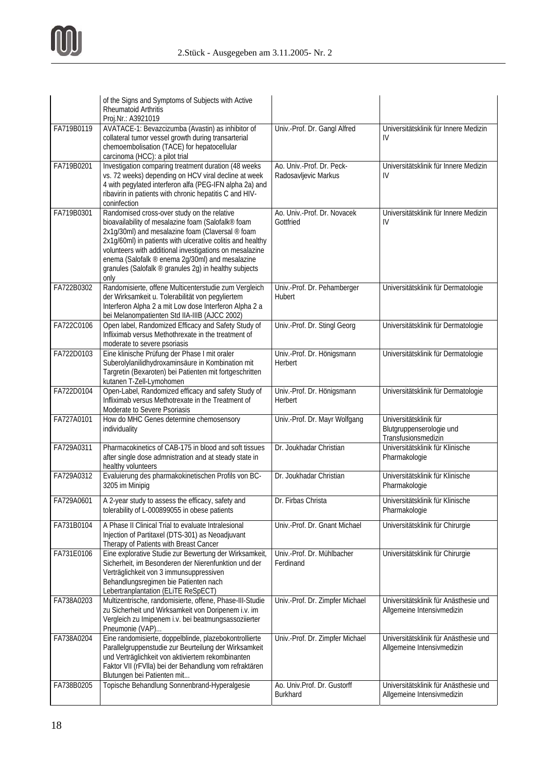

|            | of the Signs and Symptoms of Subjects with Active<br>Rheumatoid Arthritis<br>Proj.Nr.: A3921019                                                                                                                                                                                                                                                                                                    |                                                   |                                                                           |
|------------|----------------------------------------------------------------------------------------------------------------------------------------------------------------------------------------------------------------------------------------------------------------------------------------------------------------------------------------------------------------------------------------------------|---------------------------------------------------|---------------------------------------------------------------------------|
| FA719B0119 | AVATACE-1: Bevazcizumba (Avastin) as inhibitor of<br>collateral tumor vessel growth during transarterial<br>chemoembolisation (TACE) for hepatocellular<br>carcinoma (HCC): a pilot trial                                                                                                                                                                                                          | Univ.-Prof. Dr. Gangl Alfred                      | Universitätsklinik für Innere Medizin<br>IV                               |
| FA719B0201 | Investigation comparing treatment duration (48 weeks<br>vs. 72 weeks) depending on HCV viral decline at week<br>4 with pegylated interferon alfa (PEG-IFN alpha 2a) and<br>ribavirin in patients with chronic hepatitis C and HIV-<br>coninfection                                                                                                                                                 | Ao. Univ.-Prof. Dr. Peck-<br>Radosavljevic Markus | Universitätsklinik für Innere Medizin<br>IV                               |
| FA719B0301 | Randomised cross-over study on the relative<br>bioavailability of mesalazine foam (Salofalk® foam<br>2x1g/30ml) and mesalazine foam (Claversal ® foam<br>2x1g/60ml) in patients with ulcerative colitis and healthy<br>volunteers with additional investigations on mesalazine<br>enema (Salofalk ® enema 2g/30ml) and mesalazine<br>granules (Salofalk ® granules 2g) in healthy subjects<br>only | Ao. Univ.-Prof. Dr. Novacek<br>Gottfried          | Universitätsklinik für Innere Medizin<br>IV                               |
| FA722B0302 | Randomisierte, offene Multicenterstudie zum Vergleich<br>der Wirksamkeit u. Tolerabilität von pegyliertem<br>Interferon Alpha 2 a mit Low dose Interferon Alpha 2 a<br>bei Melanompatienten Std IIA-IIIB (AJCC 2002)                                                                                                                                                                               | Univ.-Prof. Dr. Pehamberger<br>Hubert             | Universitätsklinik für Dermatologie                                       |
| FA722C0106 | Open label, Randomized Efficacy and Safety Study of<br>Infliximab versus Methothrexate in the treatment of<br>moderate to severe psoriasis                                                                                                                                                                                                                                                         | Univ.-Prof. Dr. Stingl Georg                      | Universitätsklinik für Dermatologie                                       |
| FA722D0103 | Eine klinische Prüfung der Phase I mit oraler<br>Suberolylanilidhydroxaminsäure in Kombination mit<br>Targretin (Bexaroten) bei Patienten mit fortgeschritten<br>kutanen T-Zell-Lymohomen                                                                                                                                                                                                          | Univ.-Prof. Dr. Hönigsmann<br>Herbert             | Universitätsklinik für Dermatologie                                       |
| FA722D0104 | Open-Label, Randomized efficacy and safety Study of<br>Infliximab versus Methotrexate in the Treatment of<br>Moderate to Severe Psoriasis                                                                                                                                                                                                                                                          | Univ.-Prof. Dr. Hönigsmann<br>Herbert             | Universitätsklinik für Dermatologie                                       |
| FA727A0101 | How do MHC Genes determine chemosensory<br>individuality                                                                                                                                                                                                                                                                                                                                           | Univ.-Prof. Dr. Mayr Wolfgang                     | Universitätsklinik für<br>Blutgruppenserologie und<br>Transfusionsmedizin |
| FA729A0311 | Pharmacokinetics of CAB-175 in blood and soft tissues<br>after single dose admnistration and at steady state in<br>healthy volunteers                                                                                                                                                                                                                                                              | Dr. Joukhadar Christian                           | Universitätsklinik für Klinische<br>Pharmakologie                         |
| FA729A0312 | Evaluierung des pharmakokinetischen Profils von BC-<br>3205 im Minipig                                                                                                                                                                                                                                                                                                                             | Dr. Joukhadar Christian                           | Universitätsklinik für Klinische<br>Pharmakologie                         |
| FA729A0601 | A 2-year study to assess the efficacy, safety and<br>tolerability of L-000899055 in obese patients                                                                                                                                                                                                                                                                                                 | Dr. Firbas Christa                                | Universitätsklinik für Klinische<br>Pharmakologie                         |
| FA731B0104 | A Phase II Clinical Trial to evaluate Intralesional<br>Injection of Partitaxel (DTS-301) as Neoadjuvant<br>Therapy of Patients with Breast Cancer                                                                                                                                                                                                                                                  | Univ.-Prof. Dr. Gnant Michael                     | Universitätsklinik für Chirurgie                                          |
| FA731E0106 | Eine explorative Studie zur Bewertung der Wirksamkeit,<br>Sicherheit, im Besonderen der Nierenfunktion und der<br>Verträglichkeit von 3 immunsuppressiven<br>Behandlungsregimen bie Patienten nach<br>Lebertranplantation (ELiTE ReSpECT)                                                                                                                                                          | Univ.-Prof. Dr. Mühlbacher<br>Ferdinand           | Universitätsklinik für Chirurgie                                          |
| FA738A0203 | Multizentrische, randomisierte, offene, Phase-III-Studie<br>zu Sicherheit und Wirksamkeit von Doripenem i.v. im<br>Vergleich zu Imipenem i.v. bei beatmungsassoziierter<br>Pneumonie (VAP)                                                                                                                                                                                                         | Univ.-Prof. Dr. Zimpfer Michael                   | Universitätsklinik für Anästhesie und<br>Allgemeine Intensivmedizin       |
| FA738A0204 | Eine randomisierte, doppelblinde, plazebokontrollierte<br>Parallelgruppenstudie zur Beurteilung der Wirksamkeit<br>und Verträglichkeit von aktiviertem rekombinanten<br>Faktor VII (rFVIIa) bei der Behandlung vom refraktären<br>Blutungen bei Patienten mit                                                                                                                                      | Univ.-Prof. Dr. Zimpfer Michael                   | Universitätsklinik für Anästhesie und<br>Allgemeine Intensivmedizin       |
| FA738B0205 | Topische Behandlung Sonnenbrand-Hyperalgesie                                                                                                                                                                                                                                                                                                                                                       | Ao. Univ.Prof. Dr. Gustorff<br><b>Burkhard</b>    | Universitätsklinik für Anästhesie und<br>Allgemeine Intensivmedizin       |